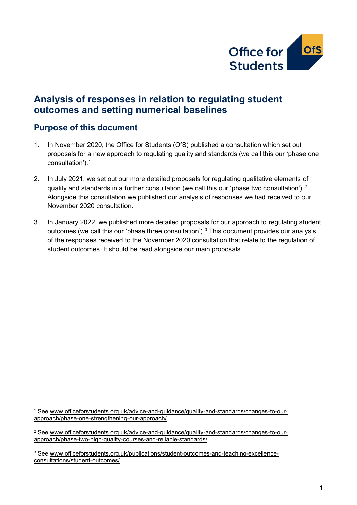

# **Analysis of responses in relation to regulating student outcomes and setting numerical baselines**

### **Purpose of this document**

- 1. In November 2020, the Office for Students (OfS) published a consultation which set out proposals for a new approach to regulating quality and standards (we call this our 'phase one consultation').[1](#page-0-0)
- 2. In July 2021, we set out our more detailed proposals for regulating qualitative elements of quality and standards in a further consultation (we call this our 'phase two consultation').<sup>[2](#page-0-1)</sup> Alongside this consultation we published our analysis of responses we had received to our November 2020 consultation.
- 3. In January 2022, we published more detailed proposals for our approach to regulating student outcomes (we call this our 'phase three consultation').<sup>[3](#page-0-2)</sup> This document provides our analysis of the responses received to the November 2020 consultation that relate to the regulation of student outcomes. It should be read alongside our main proposals.

<span id="page-0-0"></span><sup>1</sup> See [www.officeforstudents.org.uk/advice-and-guidance/quality-and-standards/changes-to-our](http://www.officeforstudents.org.uk/advice-and-guidance/quality-and-standards/changes-to-our-approach/phase-one-strengthening-our-approach/)[approach/phase-one-strengthening-our-approach/.](http://www.officeforstudents.org.uk/advice-and-guidance/quality-and-standards/changes-to-our-approach/phase-one-strengthening-our-approach/)

<span id="page-0-1"></span><sup>2</sup> See [www.officeforstudents.org.uk/advice-and-guidance/quality-and-standards/changes-to-our](http://www.officeforstudents.org.uk/advice-and-guidance/quality-and-standards/changes-to-our-approach/phase-two-high-quality-courses-and-reliable-standards/)[approach/phase-two-high-quality-courses-and-reliable-standards/.](http://www.officeforstudents.org.uk/advice-and-guidance/quality-and-standards/changes-to-our-approach/phase-two-high-quality-courses-and-reliable-standards/)

<span id="page-0-2"></span><sup>3</sup> See [www.officeforstudents.org.uk/publications/student-outcomes-and-teaching-excellence](http://www.officeforstudents.org.uk/publications/student-outcomes-and-teaching-excellence-consultations/student-outcomes/)[consultations/student-outcomes/.](http://www.officeforstudents.org.uk/publications/student-outcomes-and-teaching-excellence-consultations/student-outcomes/)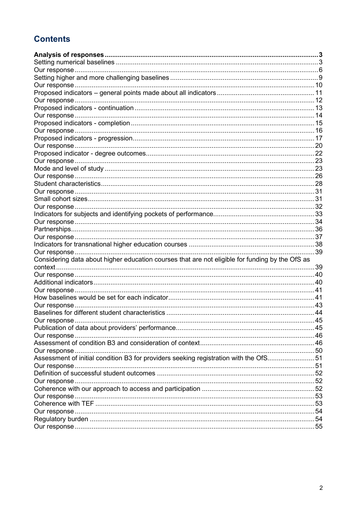# **Contents**

| Considering data about higher education courses that are not eligible for funding by the OfS as | 39 |
|-------------------------------------------------------------------------------------------------|----|
|                                                                                                 |    |
|                                                                                                 |    |
|                                                                                                 |    |
|                                                                                                 |    |
|                                                                                                 |    |
|                                                                                                 |    |
|                                                                                                 |    |
|                                                                                                 |    |
|                                                                                                 |    |
|                                                                                                 |    |
|                                                                                                 |    |
|                                                                                                 |    |
| Assessment of initial condition B3 for providers seeking registration with the OfS51            |    |
|                                                                                                 |    |
|                                                                                                 |    |
|                                                                                                 |    |
|                                                                                                 |    |
|                                                                                                 |    |
|                                                                                                 |    |
|                                                                                                 |    |
|                                                                                                 |    |
|                                                                                                 |    |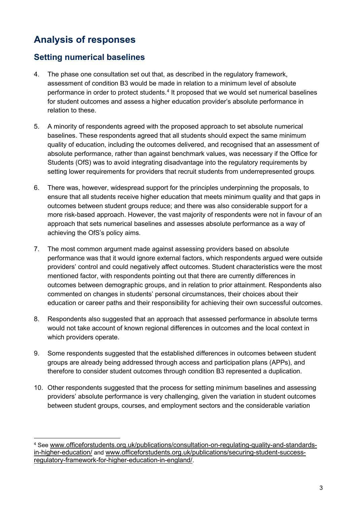# <span id="page-2-0"></span>**Analysis of responses**

# <span id="page-2-1"></span>**Setting numerical baselines**

- 4. The phase one consultation set out that, as described in the regulatory framework, assessment of condition B3 would be made in relation to a minimum level of absolute performance in order to protect students.<sup>[4](#page-2-2)</sup> It proposed that we would set numerical baselines for student outcomes and assess a higher education provider's absolute performance in relation to these.
- 5. A minority of respondents agreed with the proposed approach to set absolute numerical baselines. These respondents agreed that all students should expect the same minimum quality of education, including the outcomes delivered, and recognised that an assessment of absolute performance, rather than against benchmark values, was necessary if the Office for Students (OfS) was to avoid integrating disadvantage into the regulatory requirements by setting lower requirements for providers that recruit students from underrepresented groups.
- 6. There was, however, widespread support for the principles underpinning the proposals, to ensure that all students receive higher education that meets minimum quality and that gaps in outcomes between student groups reduce; and there was also considerable support for a more risk-based approach. However, the vast majority of respondents were not in favour of an approach that sets numerical baselines and assesses absolute performance as a way of achieving the OfS's policy aims.
- 7. The most common argument made against assessing providers based on absolute performance was that it would ignore external factors, which respondents argued were outside providers' control and could negatively affect outcomes. Student characteristics were the most mentioned factor, with respondents pointing out that there are currently differences in outcomes between demographic groups, and in relation to prior attainment. Respondents also commented on changes in students' personal circumstances, their choices about their education or career paths and their responsibility for achieving their own successful outcomes.
- 8. Respondents also suggested that an approach that assessed performance in absolute terms would not take account of known regional differences in outcomes and the local context in which providers operate.
- 9. Some respondents suggested that the established differences in outcomes between student groups are already being addressed through access and participation plans (APPs), and therefore to consider student outcomes through condition B3 represented a duplication.
- 10. Other respondents suggested that the process for setting minimum baselines and assessing providers' absolute performance is very challenging, given the variation in student outcomes between student groups, courses, and employment sectors and the considerable variation

<span id="page-2-2"></span><sup>4</sup> See [www.officeforstudents.org.uk/publications/consultation-on-regulating-quality-and-standards](http://www.officeforstudents.org.uk/publications/consultation-on-regulating-quality-and-standards-in-higher-education/)[in-higher-education/](http://www.officeforstudents.org.uk/publications/consultation-on-regulating-quality-and-standards-in-higher-education/) and [www.officeforstudents.org.uk/publications/securing-student-success](https://officeforstudents-my.sharepoint.com/personal/liz_mccarty_officeforstudents_org_uk/Documents/Documents/www.officeforstudents.org.uk/publications/securing-student-success-regulatory-framework-for-higher-education-in-england/)[regulatory-framework-for-higher-education-in-england/.](https://officeforstudents-my.sharepoint.com/personal/liz_mccarty_officeforstudents_org_uk/Documents/Documents/www.officeforstudents.org.uk/publications/securing-student-success-regulatory-framework-for-higher-education-in-england/)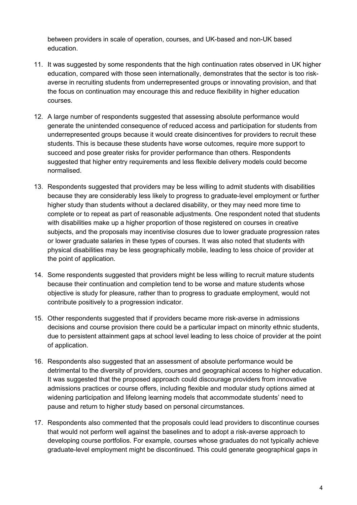between providers in scale of operation, courses, and UK-based and non-UK based education.

- 11. It was suggested by some respondents that the high continuation rates observed in UK higher education, compared with those seen internationally, demonstrates that the sector is too riskaverse in recruiting students from underrepresented groups or innovating provision, and that the focus on continuation may encourage this and reduce flexibility in higher education courses.
- 12. A large number of respondents suggested that assessing absolute performance would generate the unintended consequence of reduced access and participation for students from underrepresented groups because it would create disincentives for providers to recruit these students. This is because these students have worse outcomes, require more support to succeed and pose greater risks for provider performance than others. Respondents suggested that higher entry requirements and less flexible delivery models could become normalised.
- 13. Respondents suggested that providers may be less willing to admit students with disabilities because they are considerably less likely to progress to graduate-level employment or further higher study than students without a declared disability, or they may need more time to complete or to repeat as part of reasonable adjustments. One respondent noted that students with disabilities make up a higher proportion of those registered on courses in creative subjects, and the proposals may incentivise closures due to lower graduate progression rates or lower graduate salaries in these types of courses. It was also noted that students with physical disabilities may be less geographically mobile, leading to less choice of provider at the point of application.
- 14. Some respondents suggested that providers might be less willing to recruit mature students because their continuation and completion tend to be worse and mature students whose objective is study for pleasure, rather than to progress to graduate employment, would not contribute positively to a progression indicator.
- 15. Other respondents suggested that if providers became more risk-averse in admissions decisions and course provision there could be a particular impact on minority ethnic students, due to persistent attainment gaps at school level leading to less choice of provider at the point of application.
- 16. Respondents also suggested that an assessment of absolute performance would be detrimental to the diversity of providers, courses and geographical access to higher education. It was suggested that the proposed approach could discourage providers from innovative admissions practices or course offers, including flexible and modular study options aimed at widening participation and lifelong learning models that accommodate students' need to pause and return to higher study based on personal circumstances.
- 17. Respondents also commented that the proposals could lead providers to discontinue courses that would not perform well against the baselines and to adopt a risk-averse approach to developing course portfolios. For example, courses whose graduates do not typically achieve graduate-level employment might be discontinued. This could generate geographical gaps in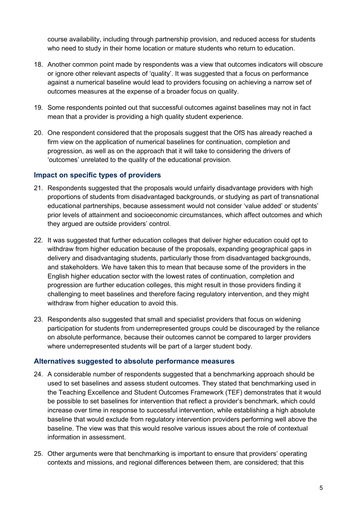course availability, including through partnership provision, and reduced access for students who need to study in their home location or mature students who return to education.

- 18. Another common point made by respondents was a view that outcomes indicators will obscure or ignore other relevant aspects of 'quality'. It was suggested that a focus on performance against a numerical baseline would lead to providers focusing on achieving a narrow set of outcomes measures at the expense of a broader focus on quality.
- 19. Some respondents pointed out that successful outcomes against baselines may not in fact mean that a provider is providing a high quality student experience.
- 20. One respondent considered that the proposals suggest that the OfS has already reached a firm view on the application of numerical baselines for continuation, completion and progression, as well as on the approach that it will take to considering the drivers of 'outcomes' unrelated to the quality of the educational provision.

### **Impact on specific types of providers**

- 21. Respondents suggested that the proposals would unfairly disadvantage providers with high proportions of students from disadvantaged backgrounds, or studying as part of transnational educational partnerships, because assessment would not consider 'value added' or students' prior levels of attainment and socioeconomic circumstances, which affect outcomes and which they argued are outside providers' control.
- 22. It was suggested that further education colleges that deliver higher education could opt to withdraw from higher education because of the proposals, expanding geographical gaps in delivery and disadvantaging students, particularly those from disadvantaged backgrounds, and stakeholders. We have taken this to mean that because some of the providers in the English higher education sector with the lowest rates of continuation, completion and progression are further education colleges, this might result in those providers finding it challenging to meet baselines and therefore facing regulatory intervention, and they might withdraw from higher education to avoid this.
- 23. Respondents also suggested that small and specialist providers that focus on widening participation for students from underrepresented groups could be discouraged by the reliance on absolute performance, because their outcomes cannot be compared to larger providers where underrepresented students will be part of a larger student body.

#### **Alternatives suggested to absolute performance measures**

- 24. A considerable number of respondents suggested that a benchmarking approach should be used to set baselines and assess student outcomes. They stated that benchmarking used in the Teaching Excellence and Student Outcomes Framework (TEF) demonstrates that it would be possible to set baselines for intervention that reflect a provider's benchmark, which could increase over time in response to successful intervention, while establishing a high absolute baseline that would exclude from regulatory intervention providers performing well above the baseline. The view was that this would resolve various issues about the role of contextual information in assessment.
- 25. Other arguments were that benchmarking is important to ensure that providers' operating contexts and missions, and regional differences between them, are considered; that this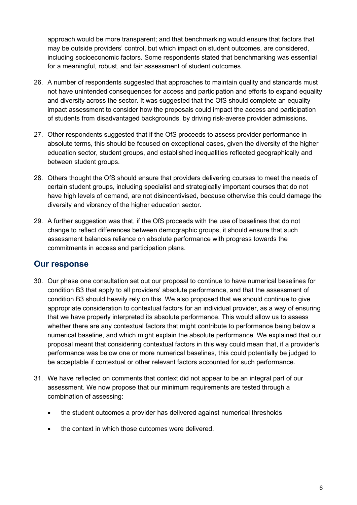approach would be more transparent; and that benchmarking would ensure that factors that may be outside providers' control, but which impact on student outcomes, are considered, including socioeconomic factors. Some respondents stated that benchmarking was essential for a meaningful, robust, and fair assessment of student outcomes.

- 26. A number of respondents suggested that approaches to maintain quality and standards must not have unintended consequences for access and participation and efforts to expand equality and diversity across the sector. It was suggested that the OfS should complete an equality impact assessment to consider how the proposals could impact the access and participation of students from disadvantaged backgrounds, by driving risk-averse provider admissions.
- 27. Other respondents suggested that if the OfS proceeds to assess provider performance in absolute terms, this should be focused on exceptional cases, given the diversity of the higher education sector, student groups, and established inequalities reflected geographically and between student groups.
- 28. Others thought the OfS should ensure that providers delivering courses to meet the needs of certain student groups, including specialist and strategically important courses that do not have high levels of demand, are not disincentivised, because otherwise this could damage the diversity and vibrancy of the higher education sector.
- 29. A further suggestion was that, if the OfS proceeds with the use of baselines that do not change to reflect differences between demographic groups, it should ensure that such assessment balances reliance on absolute performance with progress towards the commitments in access and participation plans.

- <span id="page-5-0"></span>30. Our phase one consultation set out our proposal to continue to have numerical baselines for condition B3 that apply to all providers' absolute performance, and that the assessment of condition B3 should heavily rely on this. We also proposed that we should continue to give appropriate consideration to contextual factors for an individual provider, as a way of ensuring that we have properly interpreted its absolute performance. This would allow us to assess whether there are any contextual factors that might contribute to performance being below a numerical baseline, and which might explain the absolute performance. We explained that our proposal meant that considering contextual factors in this way could mean that, if a provider's performance was below one or more numerical baselines, this could potentially be judged to be acceptable if contextual or other relevant factors accounted for such performance.
- 31. We have reflected on comments that context did not appear to be an integral part of our assessment. We now propose that our minimum requirements are tested through a combination of assessing:
	- the student outcomes a provider has delivered against numerical thresholds
	- the context in which those outcomes were delivered.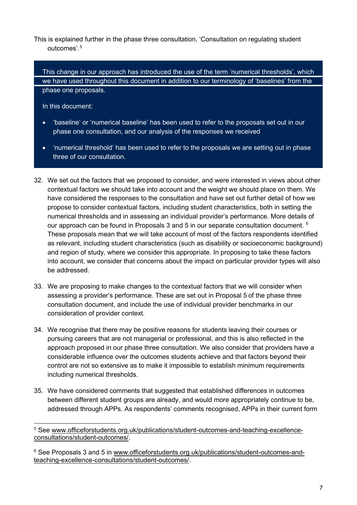This is explained further in the phase three consultation, 'Consultation on regulating student outcomes'. [5](#page-6-0)

This change in our approach has introduced the use of the term 'numerical thresholds', which we have used throughout this document in addition to our terminology of 'baselines' from the phase one proposals.

In this document:

- 'baseline' or 'numerical baseline' has been used to refer to the proposals set out in our phase one consultation, and our analysis of the responses we received
- 'numerical threshold' has been used to refer to the proposals we are setting out in phase three of our consultation.
- 32. We set out the factors that we proposed to consider, and were interested in views about other contextual factors we should take into account and the weight we should place on them. We have considered the responses to the consultation and have set out further detail of how we propose to consider contextual factors, including student characteristics, both in setting the numerical thresholds and in assessing an individual provider's performance. More details of our approach can be found in Proposals 3 and 5 in our separate consultation document.  $6$ These proposals mean that we will take account of most of the factors respondents identified as relevant, including student characteristics (such as disability or socioeconomic background) and region of study, where we consider this appropriate. In proposing to take these factors into account, we consider that concerns about the impact on particular provider types will also be addressed.
- 33. We are proposing to make changes to the contextual factors that we will consider when assessing a provider's performance. These are set out in Proposal 5 of the phase three consultation document, and include the use of individual provider benchmarks in our consideration of provider context.
- 34. We recognise that there may be positive reasons for students leaving their courses or pursuing careers that are not managerial or professional, and this is also reflected in the approach proposed in our phase three consultation. We also consider that providers have a considerable influence over the outcomes students achieve and that factors beyond their control are not so extensive as to make it impossible to establish minimum requirements including numerical thresholds.
- 35. We have considered comments that suggested that established differences in outcomes between different student groups are already, and would more appropriately continue to be, addressed through APPs. As respondents' comments recognised, APPs in their current form

<span id="page-6-0"></span><sup>5</sup> See [www.officeforstudents.org.uk/publications/student-outcomes-and-teaching-excellence](http://www.officeforstudents.org.uk/publications/student-outcomes-and-teaching-excellence-consultations/student-outcomes/)[consultations/student-outcomes/.](http://www.officeforstudents.org.uk/publications/student-outcomes-and-teaching-excellence-consultations/student-outcomes/)

<span id="page-6-1"></span><sup>&</sup>lt;sup>6</sup> See Proposals 3 and 5 in [www.officeforstudents.org.uk/publications/student-outcomes-and](http://www.officeforstudents.org.uk/publications/student-outcomes-and-teaching-excellence-consultations/student-outcomes/)[teaching-excellence-consultations/student-outcomes/.](http://www.officeforstudents.org.uk/publications/student-outcomes-and-teaching-excellence-consultations/student-outcomes/)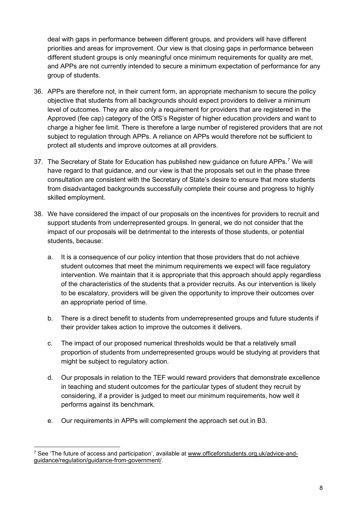deal with gaps in performance between different groups, and providers will have different priorities and areas for improvement. Our view is that closing gaps in performance between different student groups is only meaningful once minimum requirements for quality are met, and APPs are not currently intended to secure a minimum expectation of performance for any group of students.

- 36. APPs are therefore not, in their current form, an appropriate mechanism to secure the policy objective that students from all backgrounds should expect providers to deliver a minimum level of outcomes. They are also only a requirement for providers that are registered in the Approved (fee cap) category of the OfS's Register of higher education providers and want to charge a higher fee limit. There is therefore a large number of registered providers that are not subject to regulation through APPs. A reliance on APPs would therefore not be sufficient to protect all students and improve outcomes at all providers.
- 3[7](#page-7-0). The Secretary of State for Education has published new guidance on future APPs.<sup>7</sup> We will have regard to that guidance, and our view is that the proposals set out in the phase three consultation are consistent with the Secretary of State's desire to ensure that more students from disadvantaged backgrounds successfully complete their course and progress to highly skilled employment.
- 38. We have considered the impact of our proposals on the incentives for providers to recruit and support students from underrepresented groups. In general, we do not consider that the impact of our proposals will be detrimental to the interests of those students, or potential students, because:
	- a. It is a consequence of our policy intention that those providers that do not achieve student outcomes that meet the minimum requirements we expect will face regulatory intervention. We maintain that it is appropriate that this approach should apply regardless of the characteristics of the students that a provider recruits. As our intervention is likely to be escalatory, providers will be given the opportunity to improve their outcomes over an appropriate period of time.
	- b. There is a direct benefit to students from underrepresented groups and future students if their provider takes action to improve the outcomes it delivers.
	- c. The impact of our proposed numerical thresholds would be that a relatively small proportion of students from underrepresented groups would be studying at providers that might be subject to regulatory action.
	- d. Our proposals in relation to the TEF would reward providers that demonstrate excellence in teaching and student outcomes for the particular types of student they recruit by considering, if a provider is judged to meet our minimum requirements, how well it performs against its benchmark.
	- e. Our requirements in APPs will complement the approach set out in B3.

<span id="page-7-0"></span><sup>7</sup> See 'The future of access and participation', available at [www.officeforstudents.org.uk/advice-and](http://www.officeforstudents.org.uk/advice-and-guidance/regulation/guidance-from-government/)[guidance/regulation/guidance-from-government/.](http://www.officeforstudents.org.uk/advice-and-guidance/regulation/guidance-from-government/)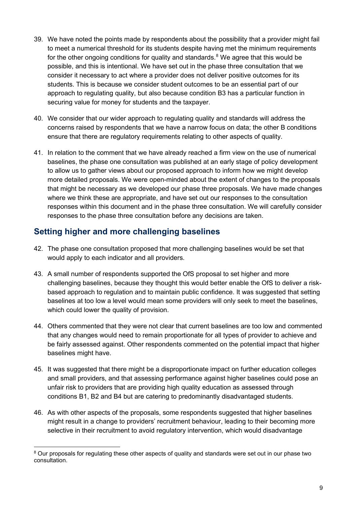- 39. We have noted the points made by respondents about the possibility that a provider might fail to meet a numerical threshold for its students despite having met the minimum requirements for the other ongoing conditions for quality and standards. $8$  We agree that this would be possible, and this is intentional. We have set out in the phase three consultation that we consider it necessary to act where a provider does not deliver positive outcomes for its students. This is because we consider student outcomes to be an essential part of our approach to regulating quality, but also because condition B3 has a particular function in securing value for money for students and the taxpayer.
- 40. We consider that our wider approach to regulating quality and standards will address the concerns raised by respondents that we have a narrow focus on data; the other B conditions ensure that there are regulatory requirements relating to other aspects of quality.
- 41. In relation to the comment that we have already reached a firm view on the use of numerical baselines, the phase one consultation was published at an early stage of policy development to allow us to gather views about our proposed approach to inform how we might develop more detailed proposals. We were open-minded about the extent of changes to the proposals that might be necessary as we developed our phase three proposals. We have made changes where we think these are appropriate, and have set out our responses to the consultation responses within this document and in the phase three consultation. We will carefully consider responses to the phase three consultation before any decisions are taken.

# <span id="page-8-0"></span>**Setting higher and more challenging baselines**

- 42. The phase one consultation proposed that more challenging baselines would be set that would apply to each indicator and all providers.
- 43. A small number of respondents supported the OfS proposal to set higher and more challenging baselines, because they thought this would better enable the OfS to deliver a riskbased approach to regulation and to maintain public confidence. It was suggested that setting baselines at too low a level would mean some providers will only seek to meet the baselines, which could lower the quality of provision.
- 44. Others commented that they were not clear that current baselines are too low and commented that any changes would need to remain proportionate for all types of provider to achieve and be fairly assessed against. Other respondents commented on the potential impact that higher baselines might have.
- 45. It was suggested that there might be a disproportionate impact on further education colleges and small providers, and that assessing performance against higher baselines could pose an unfair risk to providers that are providing high quality education as assessed through conditions B1, B2 and B4 but are catering to predominantly disadvantaged students.
- 46. As with other aspects of the proposals, some respondents suggested that higher baselines might result in a change to providers' recruitment behaviour, leading to their becoming more selective in their recruitment to avoid regulatory intervention, which would disadvantage

<span id="page-8-1"></span><sup>&</sup>lt;sup>8</sup> Our proposals for regulating these other aspects of quality and standards were set out in our phase two consultation.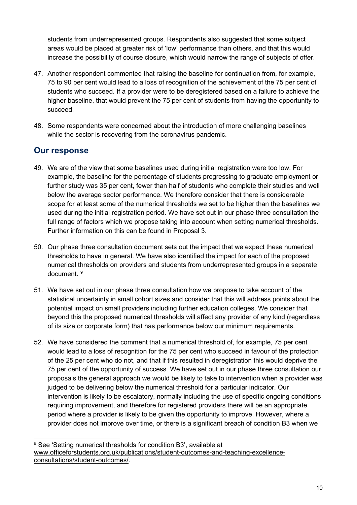students from underrepresented groups. Respondents also suggested that some subject areas would be placed at greater risk of 'low' performance than others, and that this would increase the possibility of course closure, which would narrow the range of subjects of offer.

- 47. Another respondent commented that raising the baseline for continuation from, for example, 75 to 90 per cent would lead to a loss of recognition of the achievement of the 75 per cent of students who succeed. If a provider were to be deregistered based on a failure to achieve the higher baseline, that would prevent the 75 per cent of students from having the opportunity to succeed.
- 48. Some respondents were concerned about the introduction of more challenging baselines while the sector is recovering from the coronavirus pandemic.

- <span id="page-9-0"></span>49. We are of the view that some baselines used during initial registration were too low. For example, the baseline for the percentage of students progressing to graduate employment or further study was 35 per cent, fewer than half of students who complete their studies and well below the average sector performance. We therefore consider that there is considerable scope for at least some of the numerical thresholds we set to be higher than the baselines we used during the initial registration period. We have set out in our phase three consultation the full range of factors which we propose taking into account when setting numerical thresholds. Further information on this can be found in Proposal 3.
- 50. Our phase three consultation document sets out the impact that we expect these numerical thresholds to have in general. We have also identified the impact for each of the proposed numerical thresholds on providers and students from underrepresented groups in a separate document. [9](#page-9-1)
- 51. We have set out in our phase three consultation how we propose to take account of the statistical uncertainty in small cohort sizes and consider that this will address points about the potential impact on small providers including further education colleges. We consider that beyond this the proposed numerical thresholds will affect any provider of any kind (regardless of its size or corporate form) that has performance below our minimum requirements.
- 52. We have considered the comment that a numerical threshold of, for example, 75 per cent would lead to a loss of recognition for the 75 per cent who succeed in favour of the protection of the 25 per cent who do not, and that if this resulted in deregistration this would deprive the 75 per cent of the opportunity of success. We have set out in our phase three consultation our proposals the general approach we would be likely to take to intervention when a provider was judged to be delivering below the numerical threshold for a particular indicator. Our intervention is likely to be escalatory, normally including the use of specific ongoing conditions requiring improvement, and therefore for registered providers there will be an appropriate period where a provider is likely to be given the opportunity to improve. However, where a provider does not improve over time, or there is a significant breach of condition B3 when we

<span id="page-9-1"></span><sup>&</sup>lt;sup>9</sup> See 'Setting numerical thresholds for condition B3', available at [www.officeforstudents.org.uk/publications/student-outcomes-and-teaching-excellence](http://www.officeforstudents.org.uk/publications/student-outcomes-and-teaching-excellence-consultations/student-outcomes/)[consultations/student-outcomes/.](http://www.officeforstudents.org.uk/publications/student-outcomes-and-teaching-excellence-consultations/student-outcomes/)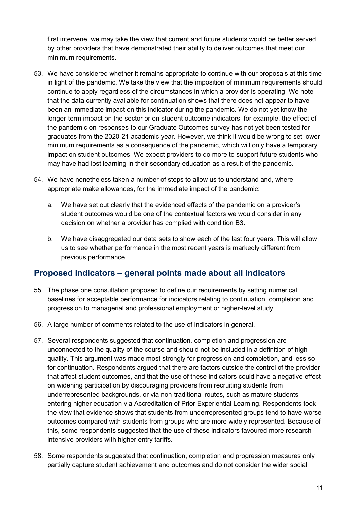first intervene, we may take the view that current and future students would be better served by other providers that have demonstrated their ability to deliver outcomes that meet our minimum requirements.

- 53. We have considered whether it remains appropriate to continue with our proposals at this time in light of the pandemic. We take the view that the imposition of minimum requirements should continue to apply regardless of the circumstances in which a provider is operating. We note that the data currently available for continuation shows that there does not appear to have been an immediate impact on this indicator during the pandemic. We do not yet know the longer-term impact on the sector or on student outcome indicators; for example, the effect of the pandemic on responses to our Graduate Outcomes survey has not yet been tested for graduates from the 2020-21 academic year. However, we think it would be wrong to set lower minimum requirements as a consequence of the pandemic, which will only have a temporary impact on student outcomes. We expect providers to do more to support future students who may have had lost learning in their secondary education as a result of the pandemic.
- 54. We have nonetheless taken a number of steps to allow us to understand and, where appropriate make allowances, for the immediate impact of the pandemic:
	- a. We have set out clearly that the evidenced effects of the pandemic on a provider's student outcomes would be one of the contextual factors we would consider in any decision on whether a provider has complied with condition B3.
	- b. We have disaggregated our data sets to show each of the last four years. This will allow us to see whether performance in the most recent years is markedly different from previous performance.

### <span id="page-10-0"></span>**Proposed indicators – general points made about all indicators**

- 55. The phase one consultation proposed to define our requirements by setting numerical baselines for acceptable performance for indicators relating to continuation, completion and progression to managerial and professional employment or higher-level study.
- 56. A large number of comments related to the use of indicators in general.
- 57. Several respondents suggested that continuation, completion and progression are unconnected to the quality of the course and should not be included in a definition of high quality. This argument was made most strongly for progression and completion, and less so for continuation. Respondents argued that there are factors outside the control of the provider that affect student outcomes, and that the use of these indicators could have a negative effect on widening participation by discouraging providers from recruiting students from underrepresented backgrounds, or via non-traditional routes, such as mature students entering higher education via Accreditation of Prior Experiential Learning. Respondents took the view that evidence shows that students from underrepresented groups tend to have worse outcomes compared with students from groups who are more widely represented. Because of this, some respondents suggested that the use of these indicators favoured more researchintensive providers with higher entry tariffs.
- 58. Some respondents suggested that continuation, completion and progression measures only partially capture student achievement and outcomes and do not consider the wider social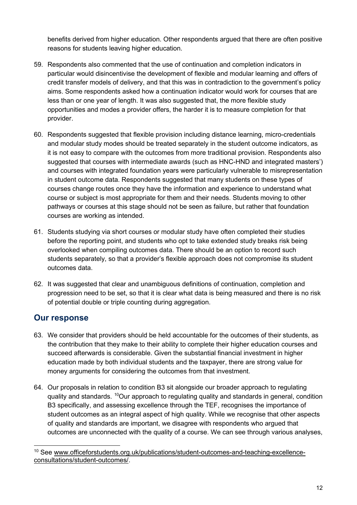benefits derived from higher education. Other respondents argued that there are often positive reasons for students leaving higher education.

- 59. Respondents also commented that the use of continuation and completion indicators in particular would disincentivise the development of flexible and modular learning and offers of credit transfer models of delivery, and that this was in contradiction to the government's policy aims. Some respondents asked how a continuation indicator would work for courses that are less than or one year of length. It was also suggested that, the more flexible study opportunities and modes a provider offers, the harder it is to measure completion for that provider.
- 60. Respondents suggested that flexible provision including distance learning, micro-credentials and modular study modes should be treated separately in the student outcome indicators, as it is not easy to compare with the outcomes from more traditional provision. Respondents also suggested that courses with intermediate awards (such as HNC-HND and integrated masters') and courses with integrated foundation years were particularly vulnerable to misrepresentation in student outcome data. Respondents suggested that many students on these types of courses change routes once they have the information and experience to understand what course or subject is most appropriate for them and their needs. Students moving to other pathways or courses at this stage should not be seen as failure, but rather that foundation courses are working as intended.
- 61. Students studying via short courses or modular study have often completed their studies before the reporting point, and students who opt to take extended study breaks risk being overlooked when compiling outcomes data. There should be an option to record such students separately, so that a provider's flexible approach does not compromise its student outcomes data.
- 62. It was suggested that clear and unambiguous definitions of continuation, completion and progression need to be set, so that it is clear what data is being measured and there is no risk of potential double or triple counting during aggregation.

- <span id="page-11-0"></span>63. We consider that providers should be held accountable for the outcomes of their students, as the contribution that they make to their ability to complete their higher education courses and succeed afterwards is considerable. Given the substantial financial investment in higher education made by both individual students and the taxpayer, there are strong value for money arguments for considering the outcomes from that investment.
- 64. Our proposals in relation to condition B3 sit alongside our broader approach to regulating quality and standards. [10](#page-11-1)Our approach to regulating quality and standards in general, condition B3 specifically, and assessing excellence through the TEF, recognises the importance of student outcomes as an integral aspect of high quality. While we recognise that other aspects of quality and standards are important, we disagree with respondents who argued that outcomes are unconnected with the quality of a course. We can see through various analyses,

<span id="page-11-1"></span><sup>&</sup>lt;sup>10</sup> See [www.officeforstudents.org.uk/publications/student-outcomes-and-teaching-excellence](http://www.officeforstudents.org.uk/publications/student-outcomes-and-teaching-excellence-consultations/student-outcomes/)[consultations/student-outcomes/.](http://www.officeforstudents.org.uk/publications/student-outcomes-and-teaching-excellence-consultations/student-outcomes/)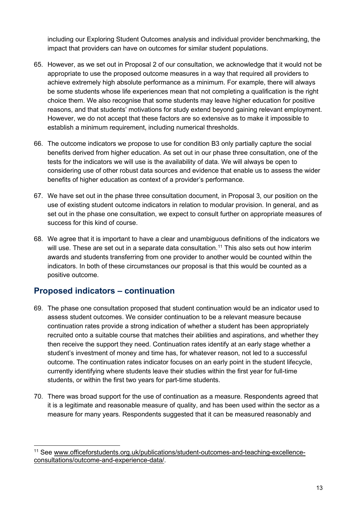including our Exploring Student Outcomes analysis and individual provider benchmarking, the impact that providers can have on outcomes for similar student populations.

- 65. However, as we set out in Proposal 2 of our consultation, we acknowledge that it would not be appropriate to use the proposed outcome measures in a way that required all providers to achieve extremely high absolute performance as a minimum. For example, there will always be some students whose life experiences mean that not completing a qualification is the right choice them. We also recognise that some students may leave higher education for positive reasons, and that students' motivations for study extend beyond gaining relevant employment. However, we do not accept that these factors are so extensive as to make it impossible to establish a minimum requirement, including numerical thresholds.
- 66. The outcome indicators we propose to use for condition B3 only partially capture the social benefits derived from higher education. As set out in our phase three consultation, one of the tests for the indicators we will use is the availability of data. We will always be open to considering use of other robust data sources and evidence that enable us to assess the wider benefits of higher education as context of a provider's performance.
- 67. We have set out in the phase three consultation document, in Proposal 3, our position on the use of existing student outcome indicators in relation to modular provision. In general, and as set out in the phase one consultation, we expect to consult further on appropriate measures of success for this kind of course.
- 68. We agree that it is important to have a clear and unambiguous definitions of the indicators we will use. These are set out in a separate data consultation.<sup>[11](#page-12-1)</sup> This also sets out how interim awards and students transferring from one provider to another would be counted within the indicators. In both of these circumstances our proposal is that this would be counted as a positive outcome.

# <span id="page-12-0"></span>**Proposed indicators – continuation**

- 69. The phase one consultation proposed that student continuation would be an indicator used to assess student outcomes. We consider continuation to be a relevant measure because continuation rates provide a strong indication of whether a student has been appropriately recruited onto a suitable course that matches their abilities and aspirations, and whether they then receive the support they need. Continuation rates identify at an early stage whether a student's investment of money and time has, for whatever reason, not led to a successful outcome. The continuation rates indicator focuses on an early point in the student lifecycle, currently identifying where students leave their studies within the first year for full-time students, or within the first two years for part-time students.
- 70. There was broad support for the use of continuation as a measure. Respondents agreed that it is a legitimate and reasonable measure of quality, and has been used within the sector as a measure for many years. Respondents suggested that it can be measured reasonably and

<span id="page-12-1"></span><sup>&</sup>lt;sup>11</sup> See [www.officeforstudents.org.uk/publications/student-outcomes-and-teaching-excellence](http://www.officeforstudents.org.uk/publications/student-outcomes-and-teaching-excellence-consultations/outcome-and-experience-data/)[consultations/outcome-and-experience-data/.](http://www.officeforstudents.org.uk/publications/student-outcomes-and-teaching-excellence-consultations/outcome-and-experience-data/)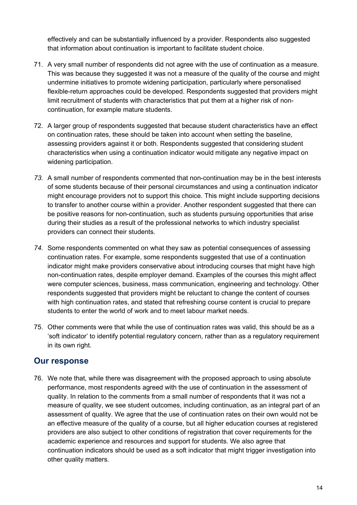effectively and can be substantially influenced by a provider. Respondents also suggested that information about continuation is important to facilitate student choice.

- 71. A very small number of respondents did not agree with the use of continuation as a measure. This was because they suggested it was not a measure of the quality of the course and might undermine initiatives to promote widening participation, particularly where personalised flexible-return approaches could be developed. Respondents suggested that providers might limit recruitment of students with characteristics that put them at a higher risk of noncontinuation, for example mature students.
- 72. A larger group of respondents suggested that because student characteristics have an effect on continuation rates, these should be taken into account when setting the baseline, assessing providers against it or both. Respondents suggested that considering student characteristics when using a continuation indicator would mitigate any negative impact on widening participation.
- *73.* A small number of respondents commented that non-continuation may be in the best interests of some students because of their personal circumstances and using a continuation indicator might encourage providers not to support this choice. This might include supporting decisions to transfer to another course within a provider. Another respondent suggested that there can be positive reasons for non-continuation, such as students pursuing opportunities that arise during their studies as a result of the professional networks to which industry specialist providers can connect their students.
- *74.* Some respondents commented on what they saw as potential consequences of assessing continuation rates. For example, some respondents suggested that use of a continuation indicator might make providers conservative about introducing courses that might have high non-continuation rates, despite employer demand. Examples of the courses this might affect were computer sciences, business, mass communication, engineering and technology. Other respondents suggested that providers might be reluctant to change the content of courses with high continuation rates, and stated that refreshing course content is crucial to prepare students to enter the world of work and to meet labour market needs.
- 75. Other comments were that while the use of continuation rates was valid, this should be as a 'soft indicator' to identify potential regulatory concern, rather than as a regulatory requirement in its own right.

### <span id="page-13-0"></span>**Our response**

76. We note that, while there was disagreement with the proposed approach to using absolute performance, most respondents agreed with the use of continuation in the assessment of quality. In relation to the comments from a small number of respondents that it was not a measure of quality, we see student outcomes, including continuation, as an integral part of an assessment of quality. We agree that the use of continuation rates on their own would not be an effective measure of the quality of a course, but all higher education courses at registered providers are also subject to other conditions of registration that cover requirements for the academic experience and resources and support for students. We also agree that continuation indicators should be used as a soft indicator that might trigger investigation into other quality matters.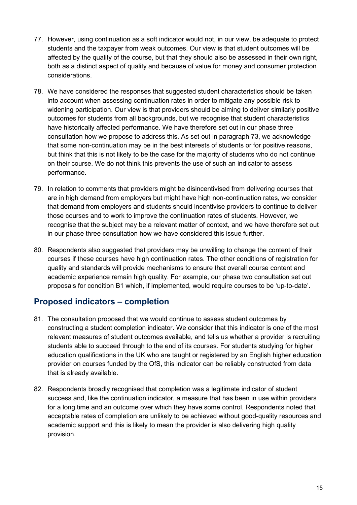- 77. However, using continuation as a soft indicator would not, in our view, be adequate to protect students and the taxpayer from weak outcomes. Our view is that student outcomes will be affected by the quality of the course, but that they should also be assessed in their own right, both as a distinct aspect of quality and because of value for money and consumer protection considerations.
- 78. We have considered the responses that suggested student characteristics should be taken into account when assessing continuation rates in order to mitigate any possible risk to widening participation. Our view is that providers should be aiming to deliver similarly positive outcomes for students from all backgrounds, but we recognise that student characteristics have historically affected performance. We have therefore set out in our phase three consultation how we propose to address this. As set out in paragraph 73, we acknowledge that some non-continuation may be in the best interests of students or for positive reasons, but think that this is not likely to be the case for the majority of students who do not continue on their course. We do not think this prevents the use of such an indicator to assess performance.
- 79. In relation to comments that providers might be disincentivised from delivering courses that are in high demand from employers but might have high non-continuation rates, we consider that demand from employers and students should incentivise providers to continue to deliver those courses and to work to improve the continuation rates of students. However, we recognise that the subject may be a relevant matter of context, and we have therefore set out in our phase three consultation how we have considered this issue further.
- 80. Respondents also suggested that providers may be unwilling to change the content of their courses if these courses have high continuation rates. The other conditions of registration for quality and standards will provide mechanisms to ensure that overall course content and academic experience remain high quality. For example, our phase two consultation set out proposals for condition B1 which, if implemented, would require courses to be 'up-to-date'.

# <span id="page-14-0"></span>**Proposed indicators – completion**

- 81. The consultation proposed that we would continue to assess student outcomes by constructing a student completion indicator. We consider that this indicator is one of the most relevant measures of student outcomes available, and tells us whether a provider is recruiting students able to succeed through to the end of its courses. For students studying for higher education qualifications in the UK who are taught or registered by an English higher education provider on courses funded by the OfS, this indicator can be reliably constructed from data that is already available.
- 82. Respondents broadly recognised that completion was a legitimate indicator of student success and, like the continuation indicator, a measure that has been in use within providers for a long time and an outcome over which they have some control. Respondents noted that acceptable rates of completion are unlikely to be achieved without good-quality resources and academic support and this is likely to mean the provider is also delivering high quality provision.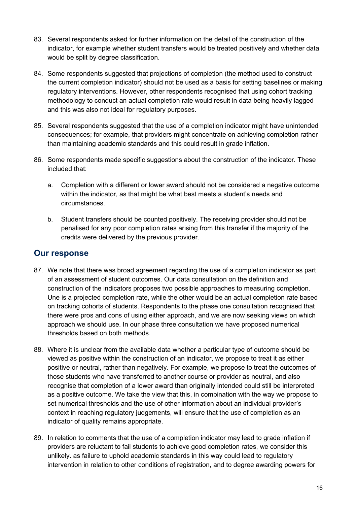- 83. Several respondents asked for further information on the detail of the construction of the indicator, for example whether student transfers would be treated positively and whether data would be split by degree classification.
- 84. Some respondents suggested that projections of completion (the method used to construct the current completion indicator) should not be used as a basis for setting baselines or making regulatory interventions. However, other respondents recognised that using cohort tracking methodology to conduct an actual completion rate would result in data being heavily lagged and this was also not ideal for regulatory purposes.
- 85. Several respondents suggested that the use of a completion indicator might have unintended consequences; for example, that providers might concentrate on achieving completion rather than maintaining academic standards and this could result in grade inflation.
- 86. Some respondents made specific suggestions about the construction of the indicator. These included that:
	- a. Completion with a different or lower award should not be considered a negative outcome within the indicator, as that might be what best meets a student's needs and circumstances.
	- b. Student transfers should be counted positively. The receiving provider should not be penalised for any poor completion rates arising from this transfer if the majority of the credits were delivered by the previous provider.

- <span id="page-15-0"></span>87. We note that there was broad agreement regarding the use of a completion indicator as part of an assessment of student outcomes. Our data consultation on the definition and construction of the indicators proposes two possible approaches to measuring completion. Une is a projected completion rate, while the other would be an actual completion rate based on tracking cohorts of students. Respondents to the phase one consultation recognised that there were pros and cons of using either approach, and we are now seeking views on which approach we should use. In our phase three consultation we have proposed numerical thresholds based on both methods.
- 88. Where it is unclear from the available data whether a particular type of outcome should be viewed as positive within the construction of an indicator, we propose to treat it as either positive or neutral, rather than negatively. For example, we propose to treat the outcomes of those students who have transferred to another course or provider as neutral, and also recognise that completion of a lower award than originally intended could still be interpreted as a positive outcome. We take the view that this, in combination with the way we propose to set numerical thresholds and the use of other information about an individual provider's context in reaching regulatory judgements, will ensure that the use of completion as an indicator of quality remains appropriate.
- 89. In relation to comments that the use of a completion indicator may lead to grade inflation if providers are reluctant to fail students to achieve good completion rates, we consider this unlikely. as failure to uphold academic standards in this way could lead to regulatory intervention in relation to other conditions of registration, and to degree awarding powers for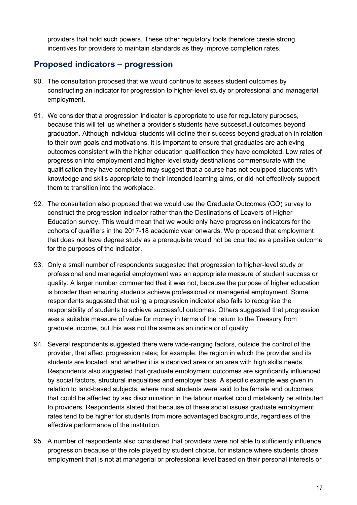providers that hold such powers. These other regulatory tools therefore create strong incentives for providers to maintain standards as they improve completion rates.

### <span id="page-16-0"></span>**Proposed indicators – progression**

- 90. The consultation proposed that we would continue to assess student outcomes by constructing an indicator for progression to higher-level study or professional and managerial employment.
- 91. We consider that a progression indicator is appropriate to use for regulatory purposes, because this will tell us whether a provider's students have successful outcomes beyond graduation. Although individual students will define their success beyond graduation in relation to their own goals and motivations, it is important to ensure that graduates are achieving outcomes consistent with the higher education qualification they have completed. Low rates of progression into employment and higher-level study destinations commensurate with the qualification they have completed may suggest that a course has not equipped students with knowledge and skills appropriate to their intended learning aims, or did not effectively support them to transition into the workplace.
- 92. The consultation also proposed that we would use the Graduate Outcomes (GO) survey to construct the progression indicator rather than the Destinations of Leavers of Higher Education survey. This would mean that we would only have progression indicators for the cohorts of qualifiers in the 2017-18 academic year onwards. We proposed that employment that does not have degree study as a prerequisite would not be counted as a positive outcome for the purposes of the indicator.
- 93. Only a small number of respondents suggested that progression to higher-level study or professional and managerial employment was an appropriate measure of student success or quality. A larger number commented that it was not, because the purpose of higher education is broader than ensuring students achieve professional or managerial employment. Some respondents suggested that using a progression indicator also fails to recognise the responsibility of students to achieve successful outcomes. Others suggested that progression was a suitable measure of value for money in terms of the return to the Treasury from graduate income, but this was not the same as an indicator of quality.
- 94. Several respondents suggested there were wide-ranging factors, outside the control of the provider, that affect progression rates; for example, the region in which the provider and its students are located, and whether it is a deprived area or an area with high skills needs. Respondents also suggested that graduate employment outcomes are significantly influenced by social factors, structural inequalities and employer bias. A specific example was given in relation to land-based subjects, where most students were said to be female and outcomes that could be affected by sex discrimination in the labour market could mistakenly be attributed to providers. Respondents stated that because of these social issues graduate employment rates tend to be higher for students from more advantaged backgrounds, regardless of the effective performance of the institution.
- 95. A number of respondents also considered that providers were not able to sufficiently influence progression because of the role played by student choice, for instance where students chose employment that is not at managerial or professional level based on their personal interests or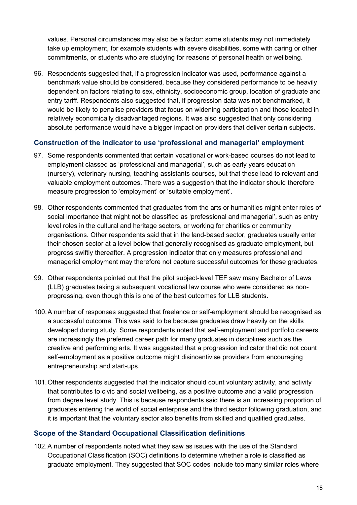values. Personal circumstances may also be a factor: some students may not immediately take up employment, for example students with severe disabilities, some with caring or other commitments, or students who are studying for reasons of personal health or wellbeing.

96. Respondents suggested that, if a progression indicator was used, performance against a benchmark value should be considered, because they considered performance to be heavily dependent on factors relating to sex, ethnicity, socioeconomic group, location of graduate and entry tariff. Respondents also suggested that, if progression data was not benchmarked, it would be likely to penalise providers that focus on widening participation and those located in relatively economically disadvantaged regions. It was also suggested that only considering absolute performance would have a bigger impact on providers that deliver certain subjects.

### **Construction of the indicator to use 'professional and managerial' employment**

- 97. Some respondents commented that certain vocational or work-based courses do not lead to employment classed as 'professional and managerial', such as early years education (nursery), veterinary nursing, teaching assistants courses, but that these lead to relevant and valuable employment outcomes. There was a suggestion that the indicator should therefore measure progression to 'employment' or 'suitable employment'.
- 98. Other respondents commented that graduates from the arts or humanities might enter roles of social importance that might not be classified as 'professional and managerial', such as entry level roles in the cultural and heritage sectors, or working for charities or community organisations. Other respondents said that in the land-based sector, graduates usually enter their chosen sector at a level below that generally recognised as graduate employment, but progress swiftly thereafter. A progression indicator that only measures professional and managerial employment may therefore not capture successful outcomes for these graduates.
- 99. Other respondents pointed out that the pilot subject-level TEF saw many Bachelor of Laws (LLB) graduates taking a subsequent vocational law course who were considered as nonprogressing, even though this is one of the best outcomes for LLB students.
- 100.A number of responses suggested that freelance or self-employment should be recognised as a successful outcome. This was said to be because graduates draw heavily on the skills developed during study. Some respondents noted that self-employment and portfolio careers are increasingly the preferred career path for many graduates in disciplines such as the creative and performing arts. It was suggested that a progression indicator that did not count self-employment as a positive outcome might disincentivise providers from encouraging entrepreneurship and start-ups.
- 101.Other respondents suggested that the indicator should count voluntary activity, and activity that contributes to civic and social wellbeing, as a positive outcome and a valid progression from degree level study. This is because respondents said there is an increasing proportion of graduates entering the world of social enterprise and the third sector following graduation, and it is important that the voluntary sector also benefits from skilled and qualified graduates.

### **Scope of the Standard Occupational Classification definitions**

102.A number of respondents noted what they saw as issues with the use of the Standard Occupational Classification (SOC) definitions to determine whether a role is classified as graduate employment. They suggested that SOC codes include too many similar roles where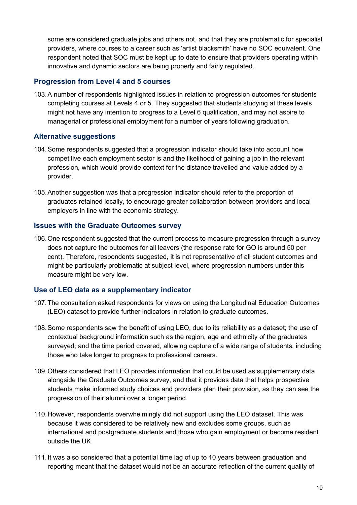some are considered graduate jobs and others not, and that they are problematic for specialist providers, where courses to a career such as 'artist blacksmith' have no SOC equivalent. One respondent noted that SOC must be kept up to date to ensure that providers operating within innovative and dynamic sectors are being properly and fairly regulated.

### **Progression from Level 4 and 5 courses**

103.A number of respondents highlighted issues in relation to progression outcomes for students completing courses at Levels 4 or 5. They suggested that students studying at these levels might not have any intention to progress to a Level 6 qualification, and may not aspire to managerial or professional employment for a number of years following graduation.

### **Alternative suggestions**

- 104.Some respondents suggested that a progression indicator should take into account how competitive each employment sector is and the likelihood of gaining a job in the relevant profession, which would provide context for the distance travelled and value added by a provider.
- 105.Another suggestion was that a progression indicator should refer to the proportion of graduates retained locally, to encourage greater collaboration between providers and local employers in line with the economic strategy.

### **Issues with the Graduate Outcomes survey**

106.One respondent suggested that the current process to measure progression through a survey does not capture the outcomes for all leavers (the response rate for GO is around 50 per cent). Therefore, respondents suggested, it is not representative of all student outcomes and might be particularly problematic at subject level, where progression numbers under this measure might be very low.

### **Use of LEO data as a supplementary indicator**

- 107.The consultation asked respondents for views on using the Longitudinal Education Outcomes (LEO) dataset to provide further indicators in relation to graduate outcomes.
- 108.Some respondents saw the benefit of using LEO, due to its reliability as a dataset; the use of contextual background information such as the region, age and ethnicity of the graduates surveyed; and the time period covered, allowing capture of a wide range of students, including those who take longer to progress to professional careers.
- 109.Others considered that LEO provides information that could be used as supplementary data alongside the Graduate Outcomes survey, and that it provides data that helps prospective students make informed study choices and providers plan their provision, as they can see the progression of their alumni over a longer period.
- 110.However, respondents overwhelmingly did not support using the LEO dataset. This was because it was considered to be relatively new and excludes some groups, such as international and postgraduate students and those who gain employment or become resident outside the UK.
- 111.It was also considered that a potential time lag of up to 10 years between graduation and reporting meant that the dataset would not be an accurate reflection of the current quality of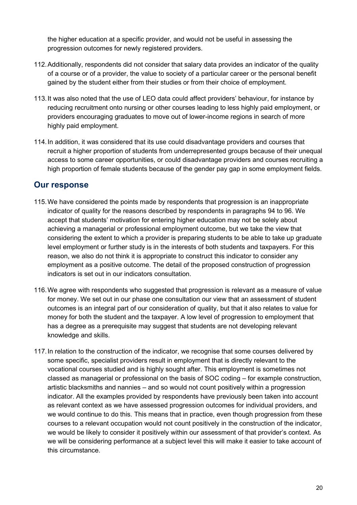the higher education at a specific provider, and would not be useful in assessing the progression outcomes for newly registered providers.

- 112.Additionally, respondents did not consider that salary data provides an indicator of the quality of a course or of a provider, the value to society of a particular career or the personal benefit gained by the student either from their studies or from their choice of employment.
- 113.It was also noted that the use of LEO data could affect providers' behaviour, for instance by reducing recruitment onto nursing or other courses leading to less highly paid employment, or providers encouraging graduates to move out of lower-income regions in search of more highly paid employment.
- 114.In addition, it was considered that its use could disadvantage providers and courses that recruit a higher proportion of students from underrepresented groups because of their unequal access to some career opportunities, or could disadvantage providers and courses recruiting a high proportion of female students because of the gender pay gap in some employment fields.

- <span id="page-19-0"></span>115.We have considered the points made by respondents that progression is an inappropriate indicator of quality for the reasons described by respondents in paragraphs 94 to 96. We accept that students' motivation for entering higher education may not be solely about achieving a managerial or professional employment outcome, but we take the view that considering the extent to which a provider is preparing students to be able to take up graduate level employment or further study is in the interests of both students and taxpayers. For this reason, we also do not think it is appropriate to construct this indicator to consider any employment as a positive outcome. The detail of the proposed construction of progression indicators is set out in our indicators consultation.
- 116.We agree with respondents who suggested that progression is relevant as a measure of value for money. We set out in our phase one consultation our view that an assessment of student outcomes is an integral part of our consideration of quality, but that it also relates to value for money for both the student and the taxpayer. A low level of progression to employment that has a degree as a prerequisite may suggest that students are not developing relevant knowledge and skills.
- 117.In relation to the construction of the indicator, we recognise that some courses delivered by some specific, specialist providers result in employment that is directly relevant to the vocational courses studied and is highly sought after. This employment is sometimes not classed as managerial or professional on the basis of SOC coding – for example construction, artistic blacksmiths and nannies – and so would not count positively within a progression indicator. All the examples provided by respondents have previously been taken into account as relevant context as we have assessed progression outcomes for individual providers, and we would continue to do this. This means that in practice, even though progression from these courses to a relevant occupation would not count positively in the construction of the indicator, we would be likely to consider it positively within our assessment of that provider's context. As we will be considering performance at a subject level this will make it easier to take account of this circumstance.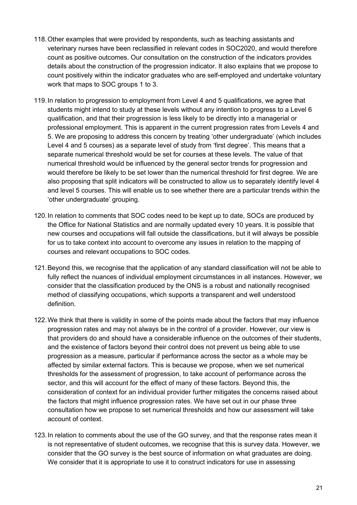- 118.Other examples that were provided by respondents, such as teaching assistants and veterinary nurses have been reclassified in relevant codes in SOC2020, and would therefore count as positive outcomes. Our consultation on the construction of the indicators provides details about the construction of the progression indicator. It also explains that we propose to count positively within the indicator graduates who are self-employed and undertake voluntary work that maps to SOC groups 1 to 3.
- 119.In relation to progression to employment from Level 4 and 5 qualifications, we agree that students might intend to study at these levels without any intention to progress to a Level 6 qualification, and that their progression is less likely to be directly into a managerial or professional employment. This is apparent in the current progression rates from Levels 4 and 5. We are proposing to address this concern by treating 'other undergraduate' (which includes Level 4 and 5 courses) as a separate level of study from 'first degree'. This means that a separate numerical threshold would be set for courses at these levels. The value of that numerical threshold would be influenced by the general sector trends for progression and would therefore be likely to be set lower than the numerical threshold for first degree. We are also proposing that split indicators will be constructed to allow us to separately identify level 4 and level 5 courses. This will enable us to see whether there are a particular trends within the 'other undergraduate' grouping.
- 120.In relation to comments that SOC codes need to be kept up to date, SOCs are produced by the Office for National Statistics and are normally updated every 10 years. It is possible that new courses and occupations will fall outside the classifications, but it will always be possible for us to take context into account to overcome any issues in relation to the mapping of courses and relevant occupations to SOC codes.
- 121.Beyond this, we recognise that the application of any standard classification will not be able to fully reflect the nuances of individual employment circumstances in all instances. However, we consider that the classification produced by the ONS is a robust and nationally recognised method of classifying occupations, which supports a transparent and well understood definition.
- 122.We think that there is validity in some of the points made about the factors that may influence progression rates and may not always be in the control of a provider. However, our view is that providers do and should have a considerable influence on the outcomes of their students, and the existence of factors beyond their control does not prevent us being able to use progression as a measure, particular if performance across the sector as a whole may be affected by similar external factors. This is because we propose, when we set numerical thresholds for the assessment of progression, to take account of performance across the sector, and this will account for the effect of many of these factors. Beyond this, the consideration of context for an individual provider further mitigates the concerns raised about the factors that might influence progression rates. We have set out in our phase three consultation how we propose to set numerical thresholds and how our assessment will take account of context.
- 123.In relation to comments about the use of the GO survey, and that the response rates mean it is not representative of student outcomes, we recognise that this is survey data. However, we consider that the GO survey is the best source of information on what graduates are doing. We consider that it is appropriate to use it to construct indicators for use in assessing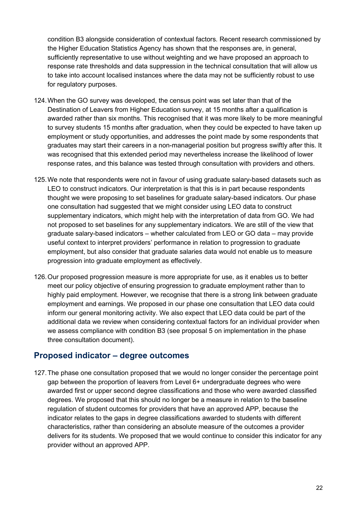condition B3 alongside consideration of contextual factors. Recent research commissioned by the Higher Education Statistics Agency has shown that the responses are, in general, sufficiently representative to use without weighting and we have proposed an approach to response rate thresholds and data suppression in the technical consultation that will allow us to take into account localised instances where the data may not be sufficiently robust to use for regulatory purposes.

- 124.When the GO survey was developed, the census point was set later than that of the Destination of Leavers from Higher Education survey, at 15 months after a qualification is awarded rather than six months. This recognised that it was more likely to be more meaningful to survey students 15 months after graduation, when they could be expected to have taken up employment or study opportunities, and addresses the point made by some respondents that graduates may start their careers in a non-managerial position but progress swiftly after this. It was recognised that this extended period may nevertheless increase the likelihood of lower response rates, and this balance was tested through consultation with providers and others.
- 125.We note that respondents were not in favour of using graduate salary-based datasets such as LEO to construct indicators. Our interpretation is that this is in part because respondents thought we were proposing to set baselines for graduate salary-based indicators. Our phase one consultation had suggested that we might consider using LEO data to construct supplementary indicators, which might help with the interpretation of data from GO. We had not proposed to set baselines for any supplementary indicators. We are still of the view that graduate salary-based indicators – whether calculated from LEO or GO data – may provide useful context to interpret providers' performance in relation to progression to graduate employment, but also consider that graduate salaries data would not enable us to measure progression into graduate employment as effectively.
- 126.Our proposed progression measure is more appropriate for use, as it enables us to better meet our policy objective of ensuring progression to graduate employment rather than to highly paid employment. However, we recognise that there is a strong link between graduate employment and earnings. We proposed in our phase one consultation that LEO data could inform our general monitoring activity. We also expect that LEO data could be part of the additional data we review when considering contextual factors for an individual provider when we assess compliance with condition B3 (see proposal 5 on implementation in the phase three consultation document).

### <span id="page-21-0"></span>**Proposed indicator – degree outcomes**

127.The phase one consultation proposed that we would no longer consider the percentage point gap between the proportion of leavers from Level 6+ undergraduate degrees who were awarded first or upper second degree classifications and those who were awarded classified degrees. We proposed that this should no longer be a measure in relation to the baseline regulation of student outcomes for providers that have an approved APP, because the indicator relates to the gaps in degree classifications awarded to students with different characteristics, rather than considering an absolute measure of the outcomes a provider delivers for its students. We proposed that we would continue to consider this indicator for any provider without an approved APP.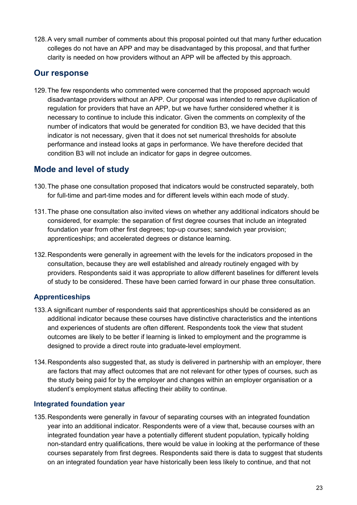128.A very small number of comments about this proposal pointed out that many further education colleges do not have an APP and may be disadvantaged by this proposal, and that further clarity is needed on how providers without an APP will be affected by this approach.

### <span id="page-22-0"></span>**Our response**

129.The few respondents who commented were concerned that the proposed approach would disadvantage providers without an APP. Our proposal was intended to remove duplication of regulation for providers that have an APP, but we have further considered whether it is necessary to continue to include this indicator. Given the comments on complexity of the number of indicators that would be generated for condition B3, we have decided that this indicator is not necessary, given that it does not set numerical thresholds for absolute performance and instead looks at gaps in performance. We have therefore decided that condition B3 will not include an indicator for gaps in degree outcomes.

# <span id="page-22-1"></span>**Mode and level of study**

- 130.The phase one consultation proposed that indicators would be constructed separately, both for full-time and part-time modes and for different levels within each mode of study.
- 131.The phase one consultation also invited views on whether any additional indicators should be considered, for example: the separation of first degree courses that include an integrated foundation year from other first degrees; top-up courses; sandwich year provision; apprenticeships; and accelerated degrees or distance learning.
- 132.Respondents were generally in agreement with the levels for the indicators proposed in the consultation, because they are well established and already routinely engaged with by providers. Respondents said it was appropriate to allow different baselines for different levels of study to be considered. These have been carried forward in our phase three consultation.

### **Apprenticeships**

- 133.A significant number of respondents said that apprenticeships should be considered as an additional indicator because these courses have distinctive characteristics and the intentions and experiences of students are often different. Respondents took the view that student outcomes are likely to be better if learning is linked to employment and the programme is designed to provide a direct route into graduate-level employment.
- 134. Respondents also suggested that, as study is delivered in partnership with an employer, there are factors that may affect outcomes that are not relevant for other types of courses, such as the study being paid for by the employer and changes within an employer organisation or a student's employment status affecting their ability to continue.

### **Integrated foundation year**

135.Respondents were generally in favour of separating courses with an integrated foundation year into an additional indicator. Respondents were of a view that, because courses with an integrated foundation year have a potentially different student population, typically holding non-standard entry qualifications, there would be value in looking at the performance of these courses separately from first degrees. Respondents said there is data to suggest that students on an integrated foundation year have historically been less likely to continue, and that not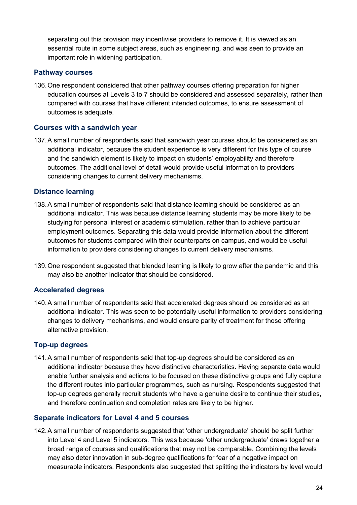separating out this provision may incentivise providers to remove it. It is viewed as an essential route in some subject areas, such as engineering, and was seen to provide an important role in widening participation.

#### **Pathway courses**

136.One respondent considered that other pathway courses offering preparation for higher education courses at Levels 3 to 7 should be considered and assessed separately, rather than compared with courses that have different intended outcomes, to ensure assessment of outcomes is adequate.

### **Courses with a sandwich year**

137.A small number of respondents said that sandwich year courses should be considered as an additional indicator, because the student experience is very different for this type of course and the sandwich element is likely to impact on students' employability and therefore outcomes. The additional level of detail would provide useful information to providers considering changes to current delivery mechanisms.

### **Distance learning**

- 138.A small number of respondents said that distance learning should be considered as an additional indicator. This was because distance learning students may be more likely to be studying for personal interest or academic stimulation, rather than to achieve particular employment outcomes. Separating this data would provide information about the different outcomes for students compared with their counterparts on campus, and would be useful information to providers considering changes to current delivery mechanisms.
- 139.One respondent suggested that blended learning is likely to grow after the pandemic and this may also be another indicator that should be considered.

#### **Accelerated degrees**

140.A small number of respondents said that accelerated degrees should be considered as an additional indicator. This was seen to be potentially useful information to providers considering changes to delivery mechanisms, and would ensure parity of treatment for those offering alternative provision.

#### **Top-up degrees**

141.A small number of respondents said that top-up degrees should be considered as an additional indicator because they have distinctive characteristics. Having separate data would enable further analysis and actions to be focused on these distinctive groups and fully capture the different routes into particular programmes, such as nursing. Respondents suggested that top-up degrees generally recruit students who have a genuine desire to continue their studies, and therefore continuation and completion rates are likely to be higher.

#### **Separate indicators for Level 4 and 5 courses**

142.A small number of respondents suggested that 'other undergraduate' should be split further into Level 4 and Level 5 indicators. This was because 'other undergraduate' draws together a broad range of courses and qualifications that may not be comparable. Combining the levels may also deter innovation in sub-degree qualifications for fear of a negative impact on measurable indicators. Respondents also suggested that splitting the indicators by level would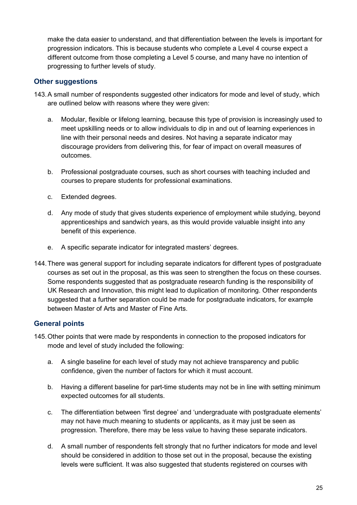make the data easier to understand, and that differentiation between the levels is important for progression indicators. This is because students who complete a Level 4 course expect a different outcome from those completing a Level 5 course, and many have no intention of progressing to further levels of study.

### **Other suggestions**

- 143.A small number of respondents suggested other indicators for mode and level of study, which are outlined below with reasons where they were given:
	- a. Modular, flexible or lifelong learning, because this type of provision is increasingly used to meet upskilling needs or to allow individuals to dip in and out of learning experiences in line with their personal needs and desires. Not having a separate indicator may discourage providers from delivering this, for fear of impact on overall measures of outcomes.
	- b. Professional postgraduate courses, such as short courses with teaching included and courses to prepare students for professional examinations.
	- c. Extended degrees.
	- d. Any mode of study that gives students experience of employment while studying, beyond apprenticeships and sandwich years, as this would provide valuable insight into any benefit of this experience.
	- e. A specific separate indicator for integrated masters' degrees.
- 144.There was general support for including separate indicators for different types of postgraduate courses as set out in the proposal, as this was seen to strengthen the focus on these courses. Some respondents suggested that as postgraduate research funding is the responsibility of UK Research and Innovation, this might lead to duplication of monitoring. Other respondents suggested that a further separation could be made for postgraduate indicators, for example between Master of Arts and Master of Fine Arts.

### **General points**

- 145.Other points that were made by respondents in connection to the proposed indicators for mode and level of study included the following:
	- a. A single baseline for each level of study may not achieve transparency and public confidence, given the number of factors for which it must account.
	- b. Having a different baseline for part-time students may not be in line with setting minimum expected outcomes for all students.
	- c. The differentiation between 'first degree' and 'undergraduate with postgraduate elements' may not have much meaning to students or applicants, as it may just be seen as progression. Therefore, there may be less value to having these separate indicators.
	- d. A small number of respondents felt strongly that no further indicators for mode and level should be considered in addition to those set out in the proposal, because the existing levels were sufficient. It was also suggested that students registered on courses with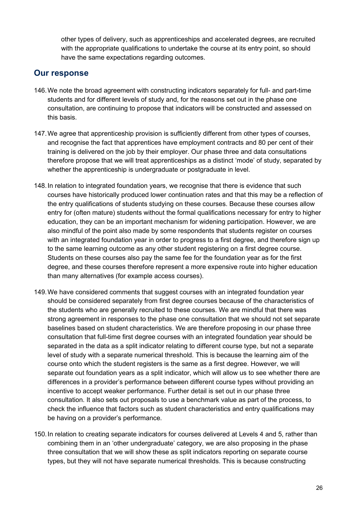other types of delivery, such as apprenticeships and accelerated degrees, are recruited with the appropriate qualifications to undertake the course at its entry point, so should have the same expectations regarding outcomes.

- <span id="page-25-0"></span>146.We note the broad agreement with constructing indicators separately for full- and part-time students and for different levels of study and, for the reasons set out in the phase one consultation, are continuing to propose that indicators will be constructed and assessed on this basis.
- 147.We agree that apprenticeship provision is sufficiently different from other types of courses, and recognise the fact that apprentices have employment contracts and 80 per cent of their training is delivered on the job by their employer. Our phase three and data consultations therefore propose that we will treat apprenticeships as a distinct 'mode' of study, separated by whether the apprenticeship is undergraduate or postgraduate in level.
- 148.In relation to integrated foundation years, we recognise that there is evidence that such courses have historically produced lower continuation rates and that this may be a reflection of the entry qualifications of students studying on these courses. Because these courses allow entry for (often mature) students without the formal qualifications necessary for entry to higher education, they can be an important mechanism for widening participation. However, we are also mindful of the point also made by some respondents that students register on courses with an integrated foundation year in order to progress to a first degree, and therefore sign up to the same learning outcome as any other student registering on a first degree course. Students on these courses also pay the same fee for the foundation year as for the first degree, and these courses therefore represent a more expensive route into higher education than many alternatives (for example access courses).
- 149.We have considered comments that suggest courses with an integrated foundation year should be considered separately from first degree courses because of the characteristics of the students who are generally recruited to these courses. We are mindful that there was strong agreement in responses to the phase one consultation that we should not set separate baselines based on student characteristics. We are therefore proposing in our phase three consultation that full-time first degree courses with an integrated foundation year should be separated in the data as a split indicator relating to different course type, but not a separate level of study with a separate numerical threshold. This is because the learning aim of the course onto which the student registers is the same as a first degree. However, we will separate out foundation years as a split indicator, which will allow us to see whether there are differences in a provider's performance between different course types without providing an incentive to accept weaker performance. Further detail is set out in our phase three consultation. It also sets out proposals to use a benchmark value as part of the process, to check the influence that factors such as student characteristics and entry qualifications may be having on a provider's performance.
- 150.In relation to creating separate indicators for courses delivered at Levels 4 and 5, rather than combining them in an 'other undergraduate' category, we are also proposing in the phase three consultation that we will show these as split indicators reporting on separate course types, but they will not have separate numerical thresholds. This is because constructing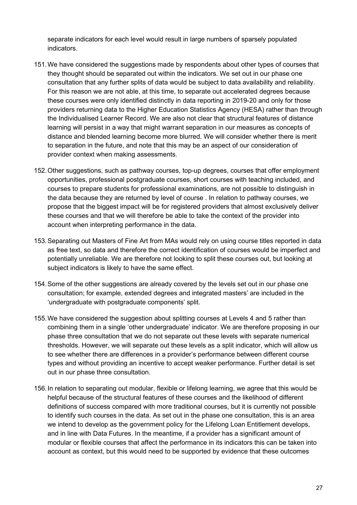separate indicators for each level would result in large numbers of sparsely populated indicators.

- 151.We have considered the suggestions made by respondents about other types of courses that they thought should be separated out within the indicators. We set out in our phase one consultation that any further splits of data would be subject to data availability and reliability. For this reason we are not able, at this time, to separate out accelerated degrees because these courses were only identified distinctly in data reporting in 2019-20 and only for those providers returning data to the Higher Education Statistics Agency (HESA) rather than through the Individualised Learner Record. We are also not clear that structural features of distance learning will persist in a way that might warrant separation in our measures as concepts of distance and blended learning become more blurred. We will consider whether there is merit to separation in the future, and note that this may be an aspect of our consideration of provider context when making assessments.
- 152.Other suggestions, such as pathway courses, top-up degrees, courses that offer employment opportunities, professional postgraduate courses, short courses with teaching included, and courses to prepare students for professional examinations, are not possible to distinguish in the data because they are returned by level of course . In relation to pathway courses, we propose that the biggest impact will be for registered providers that almost exclusively deliver these courses and that we will therefore be able to take the context of the provider into account when interpreting performance in the data.
- 153.Separating out Masters of Fine Art from MAs would rely on using course titles reported in data as free text, so data and therefore the correct identification of courses would be imperfect and potentially unreliable. We are therefore not looking to split these courses out, but looking at subject indicators is likely to have the same effect.
- 154.Some of the other suggestions are already covered by the levels set out in our phase one consultation; for example, extended degrees and integrated masters' are included in the 'undergraduate with postgraduate components' split.
- 155.We have considered the suggestion about splitting courses at Levels 4 and 5 rather than combining them in a single 'other undergraduate' indicator. We are therefore proposing in our phase three consultation that we do not separate out these levels with separate numerical thresholds. However, we will separate out these levels as a split indicator, which will allow us to see whether there are differences in a provider's performance between different course types and without providing an incentive to accept weaker performance. Further detail is set out in our phase three consultation.
- 156.In relation to separating out modular, flexible or lifelong learning, we agree that this would be helpful because of the structural features of these courses and the likelihood of different definitions of success compared with more traditional courses, but it is currently not possible to identify such courses in the data. As set out in the phase one consultation, this is an area we intend to develop as the government policy for the Lifelong Loan Entitlement develops, and in line with Data Futures. In the meantime, if a provider has a significant amount of modular or flexible courses that affect the performance in its indicators this can be taken into account as context, but this would need to be supported by evidence that these outcomes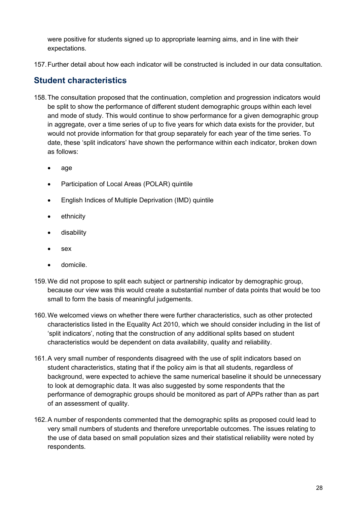were positive for students signed up to appropriate learning aims, and in line with their expectations.

157.Further detail about how each indicator will be constructed is included in our data consultation.

# <span id="page-27-0"></span>**Student characteristics**

- 158.The consultation proposed that the continuation, completion and progression indicators would be split to show the performance of different student demographic groups within each level and mode of study. This would continue to show performance for a given demographic group in aggregate, over a time series of up to five years for which data exists for the provider, but would not provide information for that group separately for each year of the time series. To date, these 'split indicators' have shown the performance within each indicator, broken down as follows:
	- age
	- Participation of Local Areas (POLAR) quintile
	- English Indices of Multiple Deprivation (IMD) quintile
	- ethnicity
	- disability
	- sex
	- domicile.
- 159.We did not propose to split each subject or partnership indicator by demographic group, because our view was this would create a substantial number of data points that would be too small to form the basis of meaningful judgements.
- 160.We welcomed views on whether there were further characteristics, such as other protected characteristics listed in the Equality Act 2010, which we should consider including in the list of 'split indicators', noting that the construction of any additional splits based on student characteristics would be dependent on data availability, quality and reliability.
- 161.A very small number of respondents disagreed with the use of split indicators based on student characteristics, stating that if the policy aim is that all students, regardless of background, were expected to achieve the same numerical baseline it should be unnecessary to look at demographic data. It was also suggested by some respondents that the performance of demographic groups should be monitored as part of APPs rather than as part of an assessment of quality.
- 162.A number of respondents commented that the demographic splits as proposed could lead to very small numbers of students and therefore unreportable outcomes. The issues relating to the use of data based on small population sizes and their statistical reliability were noted by respondents.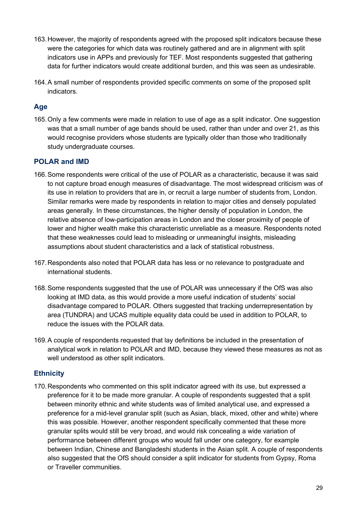- 163.However, the majority of respondents agreed with the proposed split indicators because these were the categories for which data was routinely gathered and are in alignment with split indicators use in APPs and previously for TEF. Most respondents suggested that gathering data for further indicators would create additional burden, and this was seen as undesirable.
- 164.A small number of respondents provided specific comments on some of the proposed split indicators.

### **Age**

165.Only a few comments were made in relation to use of age as a split indicator. One suggestion was that a small number of age bands should be used, rather than under and over 21, as this would recognise providers whose students are typically older than those who traditionally study undergraduate courses.

### **POLAR and IMD**

- 166.Some respondents were critical of the use of POLAR as a characteristic, because it was said to not capture broad enough measures of disadvantage. The most widespread criticism was of its use in relation to providers that are in, or recruit a large number of students from, London. Similar remarks were made by respondents in relation to major cities and densely populated areas generally. In these circumstances, the higher density of population in London, the relative absence of low-participation areas in London and the closer proximity of people of lower and higher wealth make this characteristic unreliable as a measure. Respondents noted that these weaknesses could lead to misleading or unmeaningful insights, misleading assumptions about student characteristics and a lack of statistical robustness.
- 167.Respondents also noted that POLAR data has less or no relevance to postgraduate and international students.
- 168.Some respondents suggested that the use of POLAR was unnecessary if the OfS was also looking at IMD data, as this would provide a more useful indication of students' social disadvantage compared to POLAR. Others suggested that tracking underrepresentation by area (TUNDRA) and UCAS multiple equality data could be used in addition to POLAR, to reduce the issues with the POLAR data.
- 169.A couple of respondents requested that lay definitions be included in the presentation of analytical work in relation to POLAR and IMD, because they viewed these measures as not as well understood as other split indicators.

### **Ethnicity**

170.Respondents who commented on this split indicator agreed with its use, but expressed a preference for it to be made more granular. A couple of respondents suggested that a split between minority ethnic and white students was of limited analytical use, and expressed a preference for a mid-level granular split (such as Asian, black, mixed, other and white) where this was possible. However, another respondent specifically commented that these more granular splits would still be very broad, and would risk concealing a wide variation of performance between different groups who would fall under one category, for example between Indian, Chinese and Bangladeshi students in the Asian split. A couple of respondents also suggested that the OfS should consider a split indicator for students from Gypsy, Roma or Traveller communities.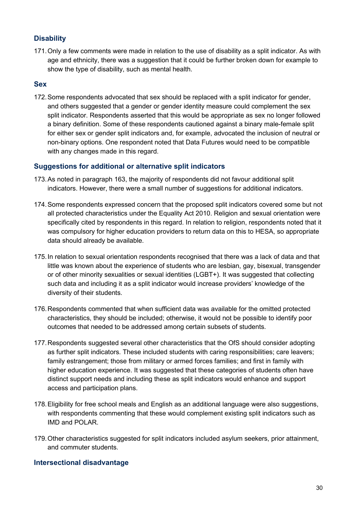### **Disability**

171.Only a few comments were made in relation to the use of disability as a split indicator. As with age and ethnicity, there was a suggestion that it could be further broken down for example to show the type of disability, such as mental health.

#### **Sex**

172.Some respondents advocated that sex should be replaced with a split indicator for gender, and others suggested that a gender or gender identity measure could complement the sex split indicator. Respondents asserted that this would be appropriate as sex no longer followed a binary definition. Some of these respondents cautioned against a binary male-female split for either sex or gender split indicators and, for example, advocated the inclusion of neutral or non-binary options. One respondent noted that Data Futures would need to be compatible with any changes made in this regard.

#### **Suggestions for additional or alternative split indicators**

- 173.As noted in paragraph 163, the majority of respondents did not favour additional split indicators. However, there were a small number of suggestions for additional indicators.
- 174.Some respondents expressed concern that the proposed split indicators covered some but not all protected characteristics under the Equality Act 2010. Religion and sexual orientation were specifically cited by respondents in this regard. In relation to religion, respondents noted that it was compulsory for higher education providers to return data on this to HESA, so appropriate data should already be available.
- 175.In relation to sexual orientation respondents recognised that there was a lack of data and that little was known about the experience of students who are lesbian, gay, bisexual, transgender or of other minority sexualities or sexual identities (LGBT+). It was suggested that collecting such data and including it as a split indicator would increase providers' knowledge of the diversity of their students.
- 176.Respondents commented that when sufficient data was available for the omitted protected characteristics, they should be included; otherwise, it would not be possible to identify poor outcomes that needed to be addressed among certain subsets of students.
- 177.Respondents suggested several other characteristics that the OfS should consider adopting as further split indicators. These included students with caring responsibilities; care leavers; family estrangement; those from military or armed forces families; and first in family with higher education experience. It was suggested that these categories of students often have distinct support needs and including these as split indicators would enhance and support access and participation plans.
- 178.Eligibility for free school meals and English as an additional language were also suggestions, with respondents commenting that these would complement existing split indicators such as IMD and POLAR.
- 179.Other characteristics suggested for split indicators included asylum seekers, prior attainment, and commuter students.

#### **Intersectional disadvantage**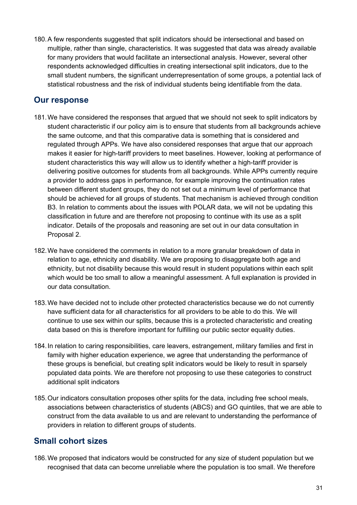180.A few respondents suggested that split indicators should be intersectional and based on multiple, rather than single, characteristics. It was suggested that data was already available for many providers that would facilitate an intersectional analysis. However, several other respondents acknowledged difficulties in creating intersectional split indicators, due to the small student numbers, the significant underrepresentation of some groups, a potential lack of statistical robustness and the risk of individual students being identifiable from the data.

### <span id="page-30-0"></span>**Our response**

- 181.We have considered the responses that argued that we should not seek to split indicators by student characteristic if our policy aim is to ensure that students from all backgrounds achieve the same outcome, and that this comparative data is something that is considered and regulated through APPs. We have also considered responses that argue that our approach makes it easier for high-tariff providers to meet baselines. However, looking at performance of student characteristics this way will allow us to identify whether a high-tariff provider is delivering positive outcomes for students from all backgrounds. While APPs currently require a provider to address gaps in performance, for example improving the continuation rates between different student groups, they do not set out a minimum level of performance that should be achieved for all groups of students. That mechanism is achieved through condition B3. In relation to comments about the issues with POLAR data, we will not be updating this classification in future and are therefore not proposing to continue with its use as a split indicator. Details of the proposals and reasoning are set out in our data consultation in Proposal 2.
- 182.We have considered the comments in relation to a more granular breakdown of data in relation to age, ethnicity and disability. We are proposing to disaggregate both age and ethnicity, but not disability because this would result in student populations within each split which would be too small to allow a meaningful assessment. A full explanation is provided in our data consultation.
- 183.We have decided not to include other protected characteristics because we do not currently have sufficient data for all characteristics for all providers to be able to do this. We will continue to use sex within our splits, because this is a protected characteristic and creating data based on this is therefore important for fulfilling our public sector equality duties.
- 184.In relation to caring responsibilities, care leavers, estrangement, military families and first in family with higher education experience, we agree that understanding the performance of these groups is beneficial, but creating split indicators would be likely to result in sparsely populated data points. We are therefore not proposing to use these categories to construct additional split indicators
- 185.Our indicators consultation proposes other splits for the data, including free school meals, associations between characteristics of students (ABCS) and GO quintiles, that we are able to construct from the data available to us and are relevant to understanding the performance of providers in relation to different groups of students.

# <span id="page-30-1"></span>**Small cohort sizes**

186.We proposed that indicators would be constructed for any size of student population but we recognised that data can become unreliable where the population is too small. We therefore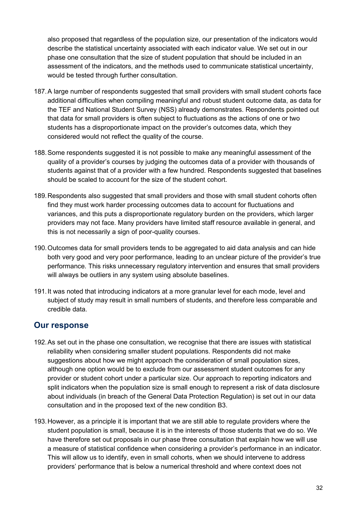also proposed that regardless of the population size, our presentation of the indicators would describe the statistical uncertainty associated with each indicator value. We set out in our phase one consultation that the size of student population that should be included in an assessment of the indicators, and the methods used to communicate statistical uncertainty, would be tested through further consultation.

- 187.A large number of respondents suggested that small providers with small student cohorts face additional difficulties when compiling meaningful and robust student outcome data, as data for the TEF and National Student Survey (NSS) already demonstrates. Respondents pointed out that data for small providers is often subject to fluctuations as the actions of one or two students has a disproportionate impact on the provider's outcomes data, which they considered would not reflect the quality of the course.
- 188.Some respondents suggested it is not possible to make any meaningful assessment of the quality of a provider's courses by judging the outcomes data of a provider with thousands of students against that of a provider with a few hundred. Respondents suggested that baselines should be scaled to account for the size of the student cohort.
- 189.Respondents also suggested that small providers and those with small student cohorts often find they must work harder processing outcomes data to account for fluctuations and variances, and this puts a disproportionate regulatory burden on the providers, which larger providers may not face. Many providers have limited staff resource available in general, and this is not necessarily a sign of poor-quality courses.
- 190.Outcomes data for small providers tends to be aggregated to aid data analysis and can hide both very good and very poor performance, leading to an unclear picture of the provider's true performance. This risks unnecessary regulatory intervention and ensures that small providers will always be outliers in any system using absolute baselines.
- 191.It was noted that introducing indicators at a more granular level for each mode, level and subject of study may result in small numbers of students, and therefore less comparable and credible data.

- <span id="page-31-0"></span>192.As set out in the phase one consultation, we recognise that there are issues with statistical reliability when considering smaller student populations. Respondents did not make suggestions about how we might approach the consideration of small population sizes, although one option would be to exclude from our assessment student outcomes for any provider or student cohort under a particular size. Our approach to reporting indicators and split indicators when the population size is small enough to represent a risk of data disclosure about individuals (in breach of the General Data Protection Regulation) is set out in our data consultation and in the proposed text of the new condition B3.
- 193.However, as a principle it is important that we are still able to regulate providers where the student population is small, because it is in the interests of those students that we do so. We have therefore set out proposals in our phase three consultation that explain how we will use a measure of statistical confidence when considering a provider's performance in an indicator. This will allow us to identify, even in small cohorts, when we should intervene to address providers' performance that is below a numerical threshold and where context does not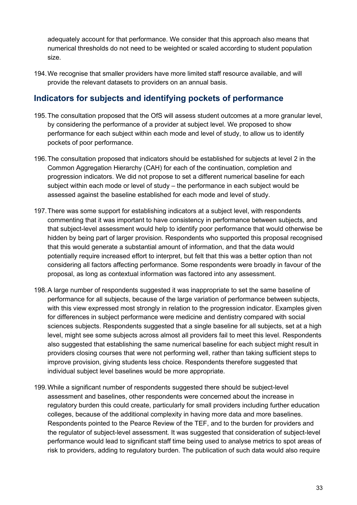adequately account for that performance. We consider that this approach also means that numerical thresholds do not need to be weighted or scaled according to student population size.

194.We recognise that smaller providers have more limited staff resource available, and will provide the relevant datasets to providers on an annual basis.

# <span id="page-32-0"></span>**Indicators for subjects and identifying pockets of performance**

- 195.The consultation proposed that the OfS will assess student outcomes at a more granular level, by considering the performance of a provider at subject level. We proposed to show performance for each subject within each mode and level of study, to allow us to identify pockets of poor performance.
- 196.The consultation proposed that indicators should be established for subjects at level 2 in the Common Aggregation Hierarchy (CAH) for each of the continuation, completion and progression indicators. We did not propose to set a different numerical baseline for each subject within each mode or level of study – the performance in each subject would be assessed against the baseline established for each mode and level of study.
- 197.There was some support for establishing indicators at a subject level, with respondents commenting that it was important to have consistency in performance between subjects, and that subject-level assessment would help to identify poor performance that would otherwise be hidden by being part of larger provision. Respondents who supported this proposal recognised that this would generate a substantial amount of information, and that the data would potentially require increased effort to interpret, but felt that this was a better option than not considering all factors affecting performance. Some respondents were broadly in favour of the proposal, as long as contextual information was factored into any assessment.
- 198.A large number of respondents suggested it was inappropriate to set the same baseline of performance for all subjects, because of the large variation of performance between subjects, with this view expressed most strongly in relation to the progression indicator. Examples given for differences in subject performance were medicine and dentistry compared with social sciences subiects. Respondents suggested that a single baseline for all subiects, set at a high level, might see some subjects across almost all providers fail to meet this level. Respondents also suggested that establishing the same numerical baseline for each subject might result in providers closing courses that were not performing well, rather than taking sufficient steps to improve provision, giving students less choice. Respondents therefore suggested that individual subject level baselines would be more appropriate.
- 199.While a significant number of respondents suggested there should be subject-level assessment and baselines, other respondents were concerned about the increase in regulatory burden this could create, particularly for small providers including further education colleges, because of the additional complexity in having more data and more baselines. Respondents pointed to the Pearce Review of the TEF, and to the burden for providers and the regulator of subject-level assessment. It was suggested that consideration of subject-level performance would lead to significant staff time being used to analyse metrics to spot areas of risk to providers, adding to regulatory burden. The publication of such data would also require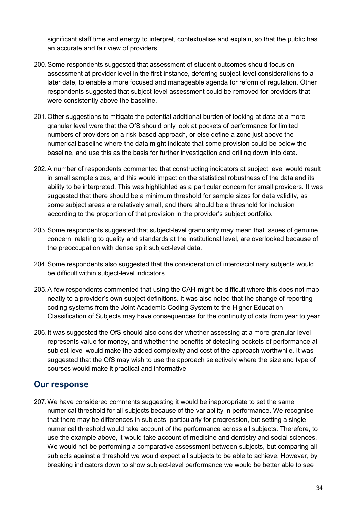significant staff time and energy to interpret, contextualise and explain, so that the public has an accurate and fair view of providers.

- 200.Some respondents suggested that assessment of student outcomes should focus on assessment at provider level in the first instance, deferring subject-level considerations to a later date, to enable a more focused and manageable agenda for reform of regulation. Other respondents suggested that subject-level assessment could be removed for providers that were consistently above the baseline.
- 201.Other suggestions to mitigate the potential additional burden of looking at data at a more granular level were that the OfS should only look at pockets of performance for limited numbers of providers on a risk-based approach, or else define a zone just above the numerical baseline where the data might indicate that some provision could be below the baseline, and use this as the basis for further investigation and drilling down into data.
- 202.A number of respondents commented that constructing indicators at subject level would result in small sample sizes, and this would impact on the statistical robustness of the data and its ability to be interpreted. This was highlighted as a particular concern for small providers. It was suggested that there should be a minimum threshold for sample sizes for data validity, as some subject areas are relatively small, and there should be a threshold for inclusion according to the proportion of that provision in the provider's subject portfolio.
- 203.Some respondents suggested that subject-level granularity may mean that issues of genuine concern, relating to quality and standards at the institutional level, are overlooked because of the preoccupation with dense split subject-level data.
- 204.Some respondents also suggested that the consideration of interdisciplinary subjects would be difficult within subject-level indicators.
- 205.A few respondents commented that using the CAH might be difficult where this does not map neatly to a provider's own subject definitions. It was also noted that the change of reporting coding systems from the Joint Academic Coding System to the Higher Education Classification of Subjects may have consequences for the continuity of data from year to year.
- 206.It was suggested the OfS should also consider whether assessing at a more granular level represents value for money, and whether the benefits of detecting pockets of performance at subject level would make the added complexity and cost of the approach worthwhile. It was suggested that the OfS may wish to use the approach selectively where the size and type of courses would make it practical and informative.

# <span id="page-33-0"></span>**Our response**

207.We have considered comments suggesting it would be inappropriate to set the same numerical threshold for all subjects because of the variability in performance. We recognise that there may be differences in subjects, particularly for progression, but setting a single numerical threshold would take account of the performance across all subjects. Therefore, to use the example above, it would take account of medicine and dentistry and social sciences. We would not be performing a comparative assessment between subjects, but comparing all subjects against a threshold we would expect all subjects to be able to achieve. However, by breaking indicators down to show subject-level performance we would be better able to see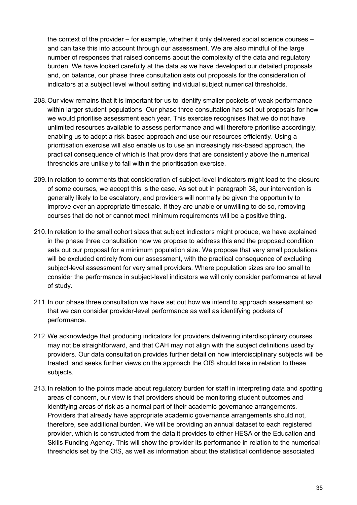the context of the provider – for example, whether it only delivered social science courses – and can take this into account through our assessment. We are also mindful of the large number of responses that raised concerns about the complexity of the data and regulatory burden. We have looked carefully at the data as we have developed our detailed proposals and, on balance, our phase three consultation sets out proposals for the consideration of indicators at a subject level without setting individual subject numerical thresholds.

- 208.Our view remains that it is important for us to identify smaller pockets of weak performance within larger student populations. Our phase three consultation has set out proposals for how we would prioritise assessment each year. This exercise recognises that we do not have unlimited resources available to assess performance and will therefore prioritise accordingly, enabling us to adopt a risk-based approach and use our resources efficiently. Using a prioritisation exercise will also enable us to use an increasingly risk-based approach, the practical consequence of which is that providers that are consistently above the numerical thresholds are unlikely to fall within the prioritisation exercise.
- 209.In relation to comments that consideration of subject-level indicators might lead to the closure of some courses, we accept this is the case. As set out in paragraph 38, our intervention is generally likely to be escalatory, and providers will normally be given the opportunity to improve over an appropriate timescale. If they are unable or unwilling to do so, removing courses that do not or cannot meet minimum requirements will be a positive thing.
- 210.In relation to the small cohort sizes that subject indicators might produce, we have explained in the phase three consultation how we propose to address this and the proposed condition sets out our proposal for a minimum population size. We propose that very small populations will be excluded entirely from our assessment, with the practical consequence of excluding subject-level assessment for very small providers. Where population sizes are too small to consider the performance in subject-level indicators we will only consider performance at level of study.
- 211.In our phase three consultation we have set out how we intend to approach assessment so that we can consider provider-level performance as well as identifying pockets of performance.
- 212.We acknowledge that producing indicators for providers delivering interdisciplinary courses may not be straightforward, and that CAH may not align with the subject definitions used by providers. Our data consultation provides further detail on how interdisciplinary subjects will be treated, and seeks further views on the approach the OfS should take in relation to these subjects.
- 213.In relation to the points made about regulatory burden for staff in interpreting data and spotting areas of concern, our view is that providers should be monitoring student outcomes and identifying areas of risk as a normal part of their academic governance arrangements. Providers that already have appropriate academic governance arrangements should not, therefore, see additional burden. We will be providing an annual dataset to each registered provider, which is constructed from the data it provides to either HESA or the Education and Skills Funding Agency. This will show the provider its performance in relation to the numerical thresholds set by the OfS, as well as information about the statistical confidence associated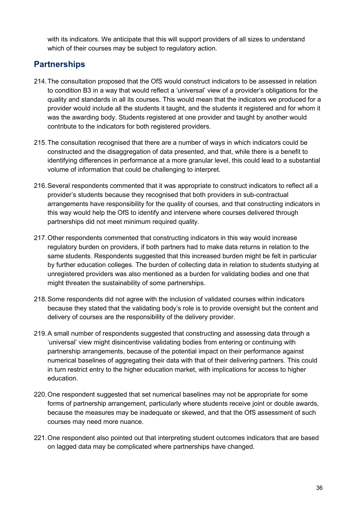with its indicators. We anticipate that this will support providers of all sizes to understand which of their courses may be subject to regulatory action.

# <span id="page-35-0"></span>**Partnerships**

- 214.The consultation proposed that the OfS would construct indicators to be assessed in relation to condition B3 in a way that would reflect a 'universal' view of a provider's obligations for the quality and standards in all its courses. This would mean that the indicators we produced for a provider would include all the students it taught, and the students it registered and for whom it was the awarding body. Students registered at one provider and taught by another would contribute to the indicators for both registered providers.
- 215.The consultation recognised that there are a number of ways in which indicators could be constructed and the disaggregation of data presented, and that, while there is a benefit to identifying differences in performance at a more granular level, this could lead to a substantial volume of information that could be challenging to interpret.
- 216.Several respondents commented that it was appropriate to construct indicators to reflect all a provider's students because they recognised that both providers in sub-contractual arrangements have responsibility for the quality of courses, and that constructing indicators in this way would help the OfS to identify and intervene where courses delivered through partnerships did not meet minimum required quality.
- 217.Other respondents commented that constructing indicators in this way would increase regulatory burden on providers, if both partners had to make data returns in relation to the same students. Respondents suggested that this increased burden might be felt in particular by further education colleges. The burden of collecting data in relation to students studying at unregistered providers was also mentioned as a burden for validating bodies and one that might threaten the sustainability of some partnerships.
- 218.Some respondents did not agree with the inclusion of validated courses within indicators because they stated that the validating body's role is to provide oversight but the content and delivery of courses are the responsibility of the delivery provider.
- 219.A small number of respondents suggested that constructing and assessing data through a 'universal' view might disincentivise validating bodies from entering or continuing with partnership arrangements, because of the potential impact on their performance against numerical baselines of aggregating their data with that of their delivering partners. This could in turn restrict entry to the higher education market, with implications for access to higher education.
- 220.One respondent suggested that set numerical baselines may not be appropriate for some forms of partnership arrangement, particularly where students receive joint or double awards, because the measures may be inadequate or skewed, and that the OfS assessment of such courses may need more nuance.
- 221.One respondent also pointed out that interpreting student outcomes indicators that are based on lagged data may be complicated where partnerships have changed.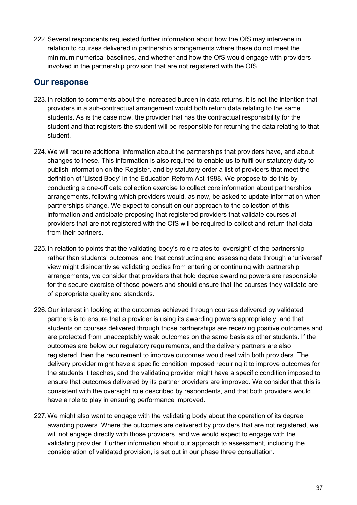222.Several respondents requested further information about how the OfS may intervene in relation to courses delivered in partnership arrangements where these do not meet the minimum numerical baselines, and whether and how the OfS would engage with providers involved in the partnership provision that are not registered with the OfS.

- <span id="page-36-0"></span>223.In relation to comments about the increased burden in data returns, it is not the intention that providers in a sub-contractual arrangement would both return data relating to the same students. As is the case now, the provider that has the contractual responsibility for the student and that registers the student will be responsible for returning the data relating to that student.
- 224.We will require additional information about the partnerships that providers have, and about changes to these. This information is also required to enable us to fulfil our statutory duty to publish information on the Register, and by statutory order a list of providers that meet the definition of 'Listed Body' in the Education Reform Act 1988. We propose to do this by conducting a one-off data collection exercise to collect core information about partnerships arrangements, following which providers would, as now, be asked to update information when partnerships change. We expect to consult on our approach to the collection of this information and anticipate proposing that registered providers that validate courses at providers that are not registered with the OfS will be required to collect and return that data from their partners.
- 225.In relation to points that the validating body's role relates to 'oversight' of the partnership rather than students' outcomes, and that constructing and assessing data through a 'universal' view might disincentivise validating bodies from entering or continuing with partnership arrangements, we consider that providers that hold degree awarding powers are responsible for the secure exercise of those powers and should ensure that the courses they validate are of appropriate quality and standards.
- 226.Our interest in looking at the outcomes achieved through courses delivered by validated partners is to ensure that a provider is using its awarding powers appropriately, and that students on courses delivered through those partnerships are receiving positive outcomes and are protected from unacceptably weak outcomes on the same basis as other students. If the outcomes are below our regulatory requirements, and the delivery partners are also registered, then the requirement to improve outcomes would rest with both providers. The delivery provider might have a specific condition imposed requiring it to improve outcomes for the students it teaches, and the validating provider might have a specific condition imposed to ensure that outcomes delivered by its partner providers are improved. We consider that this is consistent with the oversight role described by respondents, and that both providers would have a role to play in ensuring performance improved.
- 227.We might also want to engage with the validating body about the operation of its degree awarding powers. Where the outcomes are delivered by providers that are not registered, we will not engage directly with those providers, and we would expect to engage with the validating provider. Further information about our approach to assessment, including the consideration of validated provision, is set out in our phase three consultation.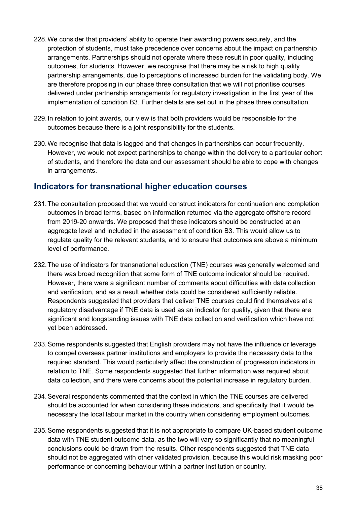- 228.We consider that providers' ability to operate their awarding powers securely, and the protection of students, must take precedence over concerns about the impact on partnership arrangements. Partnerships should not operate where these result in poor quality, including outcomes, for students. However, we recognise that there may be a risk to high quality partnership arrangements, due to perceptions of increased burden for the validating body. We are therefore proposing in our phase three consultation that we will not prioritise courses delivered under partnership arrangements for regulatory investigation in the first year of the implementation of condition B3. Further details are set out in the phase three consultation.
- 229.In relation to joint awards, our view is that both providers would be responsible for the outcomes because there is a joint responsibility for the students.
- 230.We recognise that data is lagged and that changes in partnerships can occur frequently. However, we would not expect partnerships to change within the delivery to a particular cohort of students, and therefore the data and our assessment should be able to cope with changes in arrangements.

# <span id="page-37-0"></span>**Indicators for transnational higher education courses**

- 231.The consultation proposed that we would construct indicators for continuation and completion outcomes in broad terms, based on information returned via the aggregate offshore record from 2019-20 onwards. We proposed that these indicators should be constructed at an aggregate level and included in the assessment of condition B3. This would allow us to regulate quality for the relevant students, and to ensure that outcomes are above a minimum level of performance.
- 232.The use of indicators for transnational education (TNE) courses was generally welcomed and there was broad recognition that some form of TNE outcome indicator should be required. However, there were a significant number of comments about difficulties with data collection and verification, and as a result whether data could be considered sufficiently reliable. Respondents suggested that providers that deliver TNE courses could find themselves at a regulatory disadvantage if TNE data is used as an indicator for quality, given that there are significant and longstanding issues with TNE data collection and verification which have not yet been addressed.
- 233.Some respondents suggested that English providers may not have the influence or leverage to compel overseas partner institutions and employers to provide the necessary data to the required standard. This would particularly affect the construction of progression indicators in relation to TNE. Some respondents suggested that further information was required about data collection, and there were concerns about the potential increase in regulatory burden.
- 234.Several respondents commented that the context in which the TNE courses are delivered should be accounted for when considering these indicators, and specifically that it would be necessary the local labour market in the country when considering employment outcomes.
- 235.Some respondents suggested that it is not appropriate to compare UK-based student outcome data with TNE student outcome data, as the two will vary so significantly that no meaningful conclusions could be drawn from the results. Other respondents suggested that TNE data should not be aggregated with other validated provision, because this would risk masking poor performance or concerning behaviour within a partner institution or country.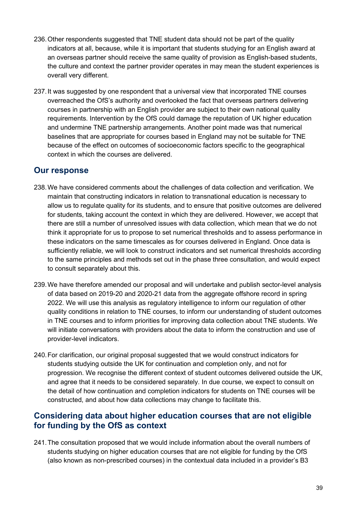- 236.Other respondents suggested that TNE student data should not be part of the quality indicators at all, because, while it is important that students studying for an English award at an overseas partner should receive the same quality of provision as English-based students, the culture and context the partner provider operates in may mean the student experiences is overall very different.
- 237.It was suggested by one respondent that a universal view that incorporated TNE courses overreached the OfS's authority and overlooked the fact that overseas partners delivering courses in partnership with an English provider are subject to their own national quality requirements. Intervention by the OfS could damage the reputation of UK higher education and undermine TNE partnership arrangements. Another point made was that numerical baselines that are appropriate for courses based in England may not be suitable for TNE because of the effect on outcomes of socioeconomic factors specific to the geographical context in which the courses are delivered.

### <span id="page-38-0"></span>**Our response**

- 238.We have considered comments about the challenges of data collection and verification. We maintain that constructing indicators in relation to transnational education is necessary to allow us to regulate quality for its students, and to ensure that positive outcomes are delivered for students, taking account the context in which they are delivered. However, we accept that there are still a number of unresolved issues with data collection, which mean that we do not think it appropriate for us to propose to set numerical thresholds and to assess performance in these indicators on the same timescales as for courses delivered in England. Once data is sufficiently reliable, we will look to construct indicators and set numerical thresholds according to the same principles and methods set out in the phase three consultation, and would expect to consult separately about this.
- 239.We have therefore amended our proposal and will undertake and publish sector-level analysis of data based on 2019-20 and 2020-21 data from the aggregate offshore record in spring 2022. We will use this analysis as regulatory intelligence to inform our regulation of other quality conditions in relation to TNE courses, to inform our understanding of student outcomes in TNE courses and to inform priorities for improving data collection about TNE students. We will initiate conversations with providers about the data to inform the construction and use of provider-level indicators.
- 240.For clarification, our original proposal suggested that we would construct indicators for students studying outside the UK for continuation and completion only, and not for progression. We recognise the different context of student outcomes delivered outside the UK, and agree that it needs to be considered separately. In due course, we expect to consult on the detail of how continuation and completion indicators for students on TNE courses will be constructed, and about how data collections may change to facilitate this.

### <span id="page-38-1"></span>**Considering data about higher education courses that are not eligible for funding by the OfS as context**

241.The consultation proposed that we would include information about the overall numbers of students studying on higher education courses that are not eligible for funding by the OfS (also known as non-prescribed courses) in the contextual data included in a provider's B3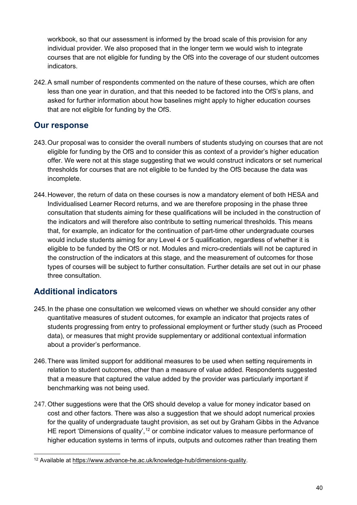workbook, so that our assessment is informed by the broad scale of this provision for any individual provider. We also proposed that in the longer term we would wish to integrate courses that are not eligible for funding by the OfS into the coverage of our student outcomes indicators.

242.A small number of respondents commented on the nature of these courses, which are often less than one year in duration, and that this needed to be factored into the OfS's plans, and asked for further information about how baselines might apply to higher education courses that are not eligible for funding by the OfS.

### <span id="page-39-0"></span>**Our response**

- 243.Our proposal was to consider the overall numbers of students studying on courses that are not eligible for funding by the OfS and to consider this as context of a provider's higher education offer. We were not at this stage suggesting that we would construct indicators or set numerical thresholds for courses that are not eligible to be funded by the OfS because the data was incomplete.
- 244.However, the return of data on these courses is now a mandatory element of both HESA and Individualised Learner Record returns, and we are therefore proposing in the phase three consultation that students aiming for these qualifications will be included in the construction of the indicators and will therefore also contribute to setting numerical thresholds. This means that, for example, an indicator for the continuation of part-time other undergraduate courses would include students aiming for any Level 4 or 5 qualification, regardless of whether it is eligible to be funded by the OfS or not. Modules and micro-credentials will not be captured in the construction of the indicators at this stage, and the measurement of outcomes for those types of courses will be subject to further consultation. Further details are set out in our phase three consultation.

# <span id="page-39-1"></span>**Additional indicators**

- 245.In the phase one consultation we welcomed views on whether we should consider any other quantitative measures of student outcomes, for example an indicator that projects rates of students progressing from entry to professional employment or further study (such as Proceed data), or measures that might provide supplementary or additional contextual information about a provider's performance.
- 246.There was limited support for additional measures to be used when setting requirements in relation to student outcomes, other than a measure of value added. Respondents suggested that a measure that captured the value added by the provider was particularly important if benchmarking was not being used.
- 247.Other suggestions were that the OfS should develop a value for money indicator based on cost and other factors. There was also a suggestion that we should adopt numerical proxies for the quality of undergraduate taught provision, as set out by Graham Gibbs in the Advance HE report 'Dimensions of quality',<sup>[12](#page-39-2)</sup> or combine indicator values to measure performance of higher education systems in terms of inputs, outputs and outcomes rather than treating them

<span id="page-39-2"></span><sup>12</sup> Available at [https://www.advance-he.ac.uk/knowledge-hub/dimensions-quality.](https://www.advance-he.ac.uk/knowledge-hub/dimensions-quality)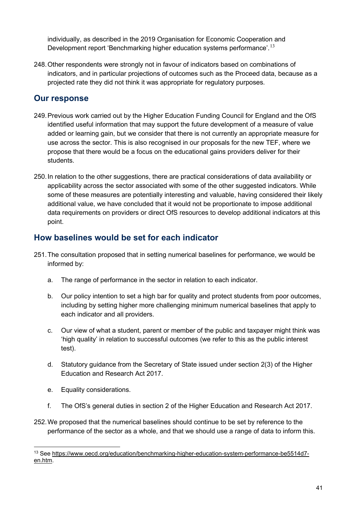individually, as described in the 2019 Organisation for Economic Cooperation and Development report 'Benchmarking higher education systems performance'.<sup>[13](#page-40-2)</sup>

248.Other respondents were strongly not in favour of indicators based on combinations of indicators, and in particular projections of outcomes such as the Proceed data, because as a projected rate they did not think it was appropriate for regulatory purposes.

### <span id="page-40-0"></span>**Our response**

- 249.Previous work carried out by the Higher Education Funding Council for England and the OfS identified useful information that may support the future development of a measure of value added or learning gain, but we consider that there is not currently an appropriate measure for use across the sector. This is also recognised in our proposals for the new TEF, where we propose that there would be a focus on the educational gains providers deliver for their students.
- 250. In relation to the other suggestions, there are practical considerations of data availability or applicability across the sector associated with some of the other suggested indicators. While some of these measures are potentially interesting and valuable, having considered their likely additional value, we have concluded that it would not be proportionate to impose additional data requirements on providers or direct OfS resources to develop additional indicators at this point.

# <span id="page-40-1"></span>**How baselines would be set for each indicator**

- 251.The consultation proposed that in setting numerical baselines for performance, we would be informed by:
	- a. The range of performance in the sector in relation to each indicator.
	- b. Our policy intention to set a high bar for quality and protect students from poor outcomes, including by setting higher more challenging minimum numerical baselines that apply to each indicator and all providers.
	- c. Our view of what a student, parent or member of the public and taxpayer might think was 'high quality' in relation to successful outcomes (we refer to this as the public interest test).
	- d. Statutory guidance from the Secretary of State issued under section 2(3) of the Higher Education and Research Act 2017.
	- e. Equality considerations.
	- f. The OfS's general duties in section 2 of the Higher Education and Research Act 2017.
- 252.We proposed that the numerical baselines should continue to be set by reference to the performance of the sector as a whole, and that we should use a range of data to inform this.

<span id="page-40-2"></span><sup>13</sup> See [https://www.oecd.org/education/benchmarking-higher-education-system-performance-be5514d7](https://www.oecd.org/education/benchmarking-higher-education-system-performance-be5514d7-en.htm) [en.htm.](https://www.oecd.org/education/benchmarking-higher-education-system-performance-be5514d7-en.htm)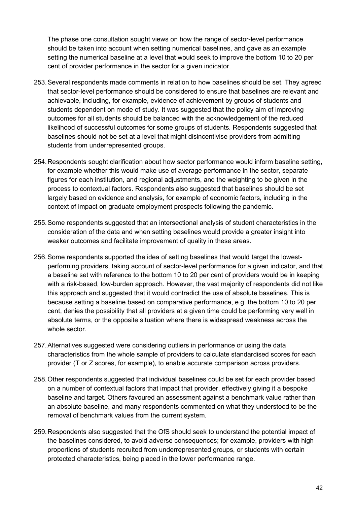The phase one consultation sought views on how the range of sector-level performance should be taken into account when setting numerical baselines, and gave as an example setting the numerical baseline at a level that would seek to improve the bottom 10 to 20 per cent of provider performance in the sector for a given indicator.

- 253.Several respondents made comments in relation to how baselines should be set. They agreed that sector-level performance should be considered to ensure that baselines are relevant and achievable, including, for example, evidence of achievement by groups of students and students dependent on mode of study. It was suggested that the policy aim of improving outcomes for all students should be balanced with the acknowledgement of the reduced likelihood of successful outcomes for some groups of students. Respondents suggested that baselines should not be set at a level that might disincentivise providers from admitting students from underrepresented groups.
- 254.Respondents sought clarification about how sector performance would inform baseline setting, for example whether this would make use of average performance in the sector, separate figures for each institution, and regional adjustments, and the weighting to be given in the process to contextual factors. Respondents also suggested that baselines should be set largely based on evidence and analysis, for example of economic factors, including in the context of impact on graduate employment prospects following the pandemic.
- 255.Some respondents suggested that an intersectional analysis of student characteristics in the consideration of the data and when setting baselines would provide a greater insight into weaker outcomes and facilitate improvement of quality in these areas.
- 256.Some respondents supported the idea of setting baselines that would target the lowestperforming providers, taking account of sector-level performance for a given indicator, and that a baseline set with reference to the bottom 10 to 20 per cent of providers would be in keeping with a risk-based, low-burden approach. However, the vast majority of respondents did not like this approach and suggested that it would contradict the use of absolute baselines. This is because setting a baseline based on comparative performance, e.g. the bottom 10 to 20 per cent, denies the possibility that all providers at a given time could be performing very well in absolute terms, or the opposite situation where there is widespread weakness across the whole sector.
- 257.Alternatives suggested were considering outliers in performance or using the data characteristics from the whole sample of providers to calculate standardised scores for each provider (T or Z scores, for example), to enable accurate comparison across providers.
- 258.Other respondents suggested that individual baselines could be set for each provider based on a number of contextual factors that impact that provider, effectively giving it a bespoke baseline and target. Others favoured an assessment against a benchmark value rather than an absolute baseline, and many respondents commented on what they understood to be the removal of benchmark values from the current system.
- 259.Respondents also suggested that the OfS should seek to understand the potential impact of the baselines considered, to avoid adverse consequences; for example, providers with high proportions of students recruited from underrepresented groups, or students with certain protected characteristics, being placed in the lower performance range.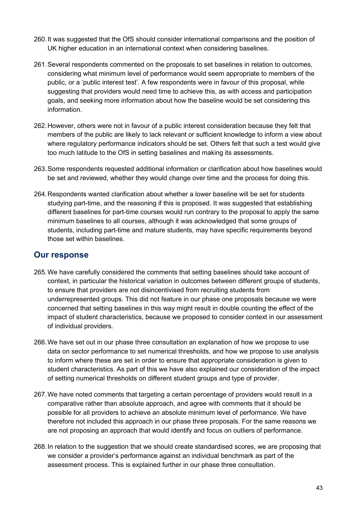- 260.It was suggested that the OfS should consider international comparisons and the position of UK higher education in an international context when considering baselines.
- 261.Several respondents commented on the proposals to set baselines in relation to outcomes, considering what minimum level of performance would seem appropriate to members of the public, or a 'public interest test'. A few respondents were in favour of this proposal, while suggesting that providers would need time to achieve this, as with access and participation goals, and seeking more information about how the baseline would be set considering this information.
- 262.However, others were not in favour of a public interest consideration because they felt that members of the public are likely to lack relevant or sufficient knowledge to inform a view about where regulatory performance indicators should be set. Others felt that such a test would give too much latitude to the OfS in setting baselines and making its assessments.
- 263.Some respondents requested additional information or clarification about how baselines would be set and reviewed, whether they would change over time and the process for doing this.
- 264.Respondents wanted clarification about whether a lower baseline will be set for students studying part-time, and the reasoning if this is proposed. It was suggested that establishing different baselines for part-time courses would run contrary to the proposal to apply the same minimum baselines to all courses, although it was acknowledged that some groups of students, including part-time and mature students, may have specific requirements beyond those set within baselines.

- <span id="page-42-0"></span>265.We have carefully considered the comments that setting baselines should take account of context, in particular the historical variation in outcomes between different groups of students, to ensure that providers are not disincentivised from recruiting students from underrepresented groups. This did not feature in our phase one proposals because we were concerned that setting baselines in this way might result in double counting the effect of the impact of student characteristics, because we proposed to consider context in our assessment of individual providers.
- 266.We have set out in our phase three consultation an explanation of how we propose to use data on sector performance to set numerical thresholds, and how we propose to use analysis to inform where these are set in order to ensure that appropriate consideration is given to student characteristics. As part of this we have also explained our consideration of the impact of setting numerical thresholds on different student groups and type of provider.
- 267.We have noted comments that targeting a certain percentage of providers would result in a comparative rather than absolute approach, and agree with comments that it should be possible for all providers to achieve an absolute minimum level of performance. We have therefore not included this approach in our phase three proposals. For the same reasons we are not proposing an approach that would identify and focus on outliers of performance.
- 268.In relation to the suggestion that we should create standardised scores, we are proposing that we consider a provider's performance against an individual benchmark as part of the assessment process. This is explained further in our phase three consultation.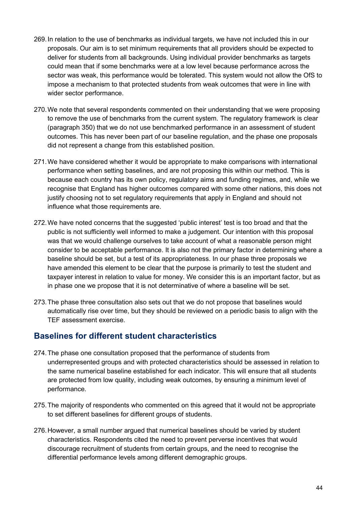- 269.In relation to the use of benchmarks as individual targets, we have not included this in our proposals. Our aim is to set minimum requirements that all providers should be expected to deliver for students from all backgrounds. Using individual provider benchmarks as targets could mean that if some benchmarks were at a low level because performance across the sector was weak, this performance would be tolerated. This system would not allow the OfS to impose a mechanism to that protected students from weak outcomes that were in line with wider sector performance.
- 270.We note that several respondents commented on their understanding that we were proposing to remove the use of benchmarks from the current system. The regulatory framework is clear (paragraph 350) that we do not use benchmarked performance in an assessment of student outcomes. This has never been part of our baseline regulation, and the phase one proposals did not represent a change from this established position.
- 271.We have considered whether it would be appropriate to make comparisons with international performance when setting baselines, and are not proposing this within our method. This is because each country has its own policy, regulatory aims and funding regimes, and, while we recognise that England has higher outcomes compared with some other nations, this does not justify choosing not to set regulatory requirements that apply in England and should not influence what those requirements are.
- 272.We have noted concerns that the suggested 'public interest' test is too broad and that the public is not sufficiently well informed to make a judgement. Our intention with this proposal was that we would challenge ourselves to take account of what a reasonable person might consider to be acceptable performance. It is also not the primary factor in determining where a baseline should be set, but a test of its appropriateness. In our phase three proposals we have amended this element to be clear that the purpose is primarily to test the student and taxpayer interest in relation to value for money. We consider this is an important factor, but as in phase one we propose that it is not determinative of where a baseline will be set.
- 273.The phase three consultation also sets out that we do not propose that baselines would automatically rise over time, but they should be reviewed on a periodic basis to align with the TEF assessment exercise.

### <span id="page-43-0"></span>**Baselines for different student characteristics**

- 274.The phase one consultation proposed that the performance of students from underrepresented groups and with protected characteristics should be assessed in relation to the same numerical baseline established for each indicator. This will ensure that all students are protected from low quality, including weak outcomes, by ensuring a minimum level of performance.
- 275.The majority of respondents who commented on this agreed that it would not be appropriate to set different baselines for different groups of students.
- 276.However, a small number argued that numerical baselines should be varied by student characteristics. Respondents cited the need to prevent perverse incentives that would discourage recruitment of students from certain groups, and the need to recognise the differential performance levels among different demographic groups.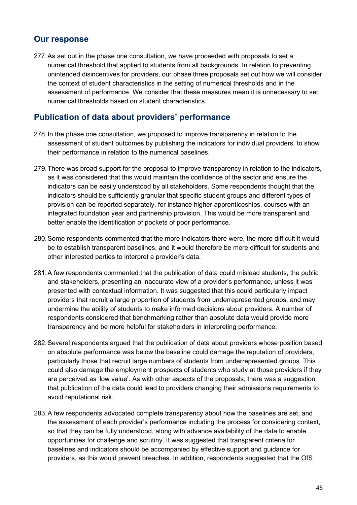# <span id="page-44-0"></span>**Our response**

277.As set out in the phase one consultation, we have proceeded with proposals to set a numerical threshold that applied to students from all backgrounds. In relation to preventing unintended disincentives for providers, our phase three proposals set out how we will consider the context of student characteristics in the setting of numerical thresholds and in the assessment of performance. We consider that these measures mean it is unnecessary to set numerical thresholds based on student characteristics.

# <span id="page-44-1"></span>**Publication of data about providers' performance**

- 278.In the phase one consultation, we proposed to improve transparency in relation to the assessment of student outcomes by publishing the indicators for individual providers, to show their performance in relation to the numerical baselines.
- 279.There was broad support for the proposal to improve transparency in relation to the indicators, as it was considered that this would maintain the confidence of the sector and ensure the indicators can be easily understood by all stakeholders. Some respondents thought that the indicators should be sufficiently granular that specific student groups and different types of provision can be reported separately, for instance higher apprenticeships, courses with an integrated foundation year and partnership provision. This would be more transparent and better enable the identification of pockets of poor performance.
- 280.Some respondents commented that the more indicators there were, the more difficult it would be to establish transparent baselines, and it would therefore be more difficult for students and other interested parties to interpret a provider's data.
- 281.A few respondents commented that the publication of data could mislead students, the public and stakeholders, presenting an inaccurate view of a provider's performance, unless it was presented with contextual information. It was suggested that this could particularly impact providers that recruit a large proportion of students from underrepresented groups, and may undermine the ability of students to make informed decisions about providers. A number of respondents considered that benchmarking rather than absolute data would provide more transparency and be more helpful for stakeholders in interpreting performance.
- 282.Several respondents argued that the publication of data about providers whose position based on absolute performance was below the baseline could damage the reputation of providers, particularly those that recruit large numbers of students from underrepresented groups. This could also damage the employment prospects of students who study at those providers if they are perceived as 'low value'. As with other aspects of the proposals, there was a suggestion that publication of the data could lead to providers changing their admissions requirements to avoid reputational risk.
- 283.A few respondents advocated complete transparency about how the baselines are set, and the assessment of each provider's performance including the process for considering context, so that they can be fully understood, along with advance availability of the data to enable opportunities for challenge and scrutiny. It was suggested that transparent criteria for baselines and indicators should be accompanied by effective support and guidance for providers, as this would prevent breaches. In addition, respondents suggested that the OfS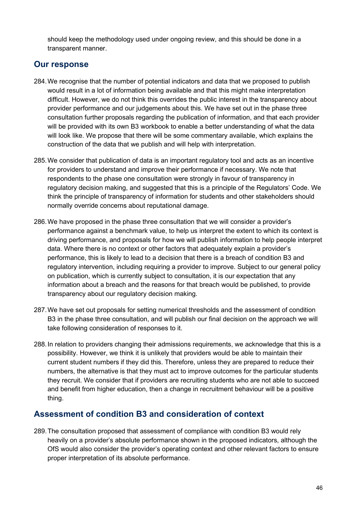should keep the methodology used under ongoing review, and this should be done in a transparent manner.

### <span id="page-45-0"></span>**Our response**

- 284.We recognise that the number of potential indicators and data that we proposed to publish would result in a lot of information being available and that this might make interpretation difficult. However, we do not think this overrides the public interest in the transparency about provider performance and our judgements about this. We have set out in the phase three consultation further proposals regarding the publication of information, and that each provider will be provided with its own B3 workbook to enable a better understanding of what the data will look like. We propose that there will be some commentary available, which explains the construction of the data that we publish and will help with interpretation.
- 285.We consider that publication of data is an important regulatory tool and acts as an incentive for providers to understand and improve their performance if necessary. We note that respondents to the phase one consultation were strongly in favour of transparency in regulatory decision making, and suggested that this is a principle of the Regulators' Code. We think the principle of transparency of information for students and other stakeholders should normally override concerns about reputational damage.
- 286.We have proposed in the phase three consultation that we will consider a provider's performance against a benchmark value, to help us interpret the extent to which its context is driving performance, and proposals for how we will publish information to help people interpret data. Where there is no context or other factors that adequately explain a provider's performance, this is likely to lead to a decision that there is a breach of condition B3 and regulatory intervention, including requiring a provider to improve. Subject to our general policy on publication, which is currently subject to consultation, it is our expectation that any information about a breach and the reasons for that breach would be published, to provide transparency about our regulatory decision making.
- 287.We have set out proposals for setting numerical thresholds and the assessment of condition B3 in the phase three consultation, and will publish our final decision on the approach we will take following consideration of responses to it.
- 288.In relation to providers changing their admissions requirements, we acknowledge that this is a possibility. However, we think it is unlikely that providers would be able to maintain their current student numbers if they did this. Therefore, unless they are prepared to reduce their numbers, the alternative is that they must act to improve outcomes for the particular students they recruit. We consider that if providers are recruiting students who are not able to succeed and benefit from higher education, then a change in recruitment behaviour will be a positive thing.

# <span id="page-45-1"></span>**Assessment of condition B3 and consideration of context**

289.The consultation proposed that assessment of compliance with condition B3 would rely heavily on a provider's absolute performance shown in the proposed indicators, although the OfS would also consider the provider's operating context and other relevant factors to ensure proper interpretation of its absolute performance.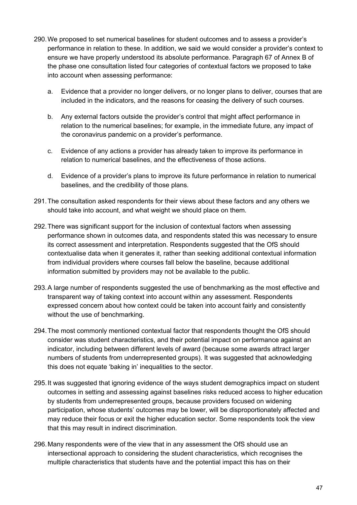- 290.We proposed to set numerical baselines for student outcomes and to assess a provider's performance in relation to these. In addition, we said we would consider a provider's context to ensure we have properly understood its absolute performance. Paragraph 67 of Annex B of the phase one consultation listed four categories of contextual factors we proposed to take into account when assessing performance:
	- a. Evidence that a provider no longer delivers, or no longer plans to deliver, courses that are included in the indicators, and the reasons for ceasing the delivery of such courses.
	- b. Any external factors outside the provider's control that might affect performance in relation to the numerical baselines; for example, in the immediate future, any impact of the coronavirus pandemic on a provider's performance.
	- c. Evidence of any actions a provider has already taken to improve its performance in relation to numerical baselines, and the effectiveness of those actions.
	- d. Evidence of a provider's plans to improve its future performance in relation to numerical baselines, and the credibility of those plans.
- 291.The consultation asked respondents for their views about these factors and any others we should take into account, and what weight we should place on them.
- 292.There was significant support for the inclusion of contextual factors when assessing performance shown in outcomes data, and respondents stated this was necessary to ensure its correct assessment and interpretation. Respondents suggested that the OfS should contextualise data when it generates it, rather than seeking additional contextual information from individual providers where courses fall below the baseline, because additional information submitted by providers may not be available to the public.
- 293.A large number of respondents suggested the use of benchmarking as the most effective and transparent way of taking context into account within any assessment. Respondents expressed concern about how context could be taken into account fairly and consistently without the use of benchmarking.
- 294.The most commonly mentioned contextual factor that respondents thought the OfS should consider was student characteristics, and their potential impact on performance against an indicator, including between different levels of award (because some awards attract larger numbers of students from underrepresented groups). It was suggested that acknowledging this does not equate 'baking in' inequalities to the sector.
- 295.It was suggested that ignoring evidence of the ways student demographics impact on student outcomes in setting and assessing against baselines risks reduced access to higher education by students from underrepresented groups, because providers focused on widening participation, whose students' outcomes may be lower, will be disproportionately affected and may reduce their focus or exit the higher education sector. Some respondents took the view that this may result in indirect discrimination.
- 296.Many respondents were of the view that in any assessment the OfS should use an intersectional approach to considering the student characteristics, which recognises the multiple characteristics that students have and the potential impact this has on their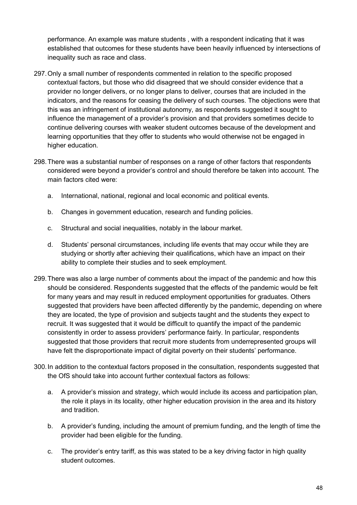performance. An example was mature students , with a respondent indicating that it was established that outcomes for these students have been heavily influenced by intersections of inequality such as race and class.

- 297.Only a small number of respondents commented in relation to the specific proposed contextual factors, but those who did disagreed that we should consider evidence that a provider no longer delivers, or no longer plans to deliver, courses that are included in the indicators, and the reasons for ceasing the delivery of such courses. The objections were that this was an infringement of institutional autonomy, as respondents suggested it sought to influence the management of a provider's provision and that providers sometimes decide to continue delivering courses with weaker student outcomes because of the development and learning opportunities that they offer to students who would otherwise not be engaged in higher education.
- 298.There was a substantial number of responses on a range of other factors that respondents considered were beyond a provider's control and should therefore be taken into account. The main factors cited were:
	- a. International, national, regional and local economic and political events.
	- b. Changes in government education, research and funding policies.
	- c. Structural and social inequalities, notably in the labour market.
	- d. Students' personal circumstances, including life events that may occur while they are studying or shortly after achieving their qualifications, which have an impact on their ability to complete their studies and to seek employment.
- 299.There was also a large number of comments about the impact of the pandemic and how this should be considered. Respondents suggested that the effects of the pandemic would be felt for many years and may result in reduced employment opportunities for graduates. Others suggested that providers have been affected differently by the pandemic, depending on where they are located, the type of provision and subjects taught and the students they expect to recruit. It was suggested that it would be difficult to quantify the impact of the pandemic consistently in order to assess providers' performance fairly. In particular, respondents suggested that those providers that recruit more students from underrepresented groups will have felt the disproportionate impact of digital poverty on their students' performance.
- 300.In addition to the contextual factors proposed in the consultation, respondents suggested that the OfS should take into account further contextual factors as follows:
	- a. A provider's mission and strategy, which would include its access and participation plan, the role it plays in its locality, other higher education provision in the area and its history and tradition.
	- b. A provider's funding, including the amount of premium funding, and the length of time the provider had been eligible for the funding.
	- c. The provider's entry tariff, as this was stated to be a key driving factor in high quality student outcomes.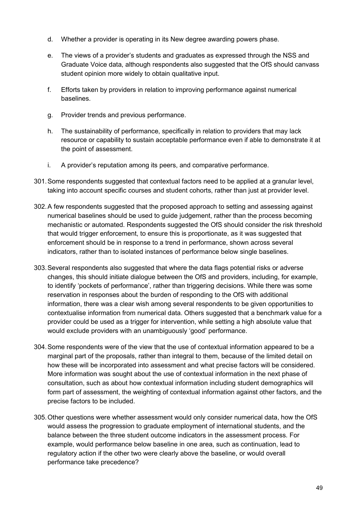- d. Whether a provider is operating in its New degree awarding powers phase.
- e. The views of a provider's students and graduates as expressed through the NSS and Graduate Voice data, although respondents also suggested that the OfS should canvass student opinion more widely to obtain qualitative input.
- f. Efforts taken by providers in relation to improving performance against numerical baselines.
- g. Provider trends and previous performance.
- h. The sustainability of performance, specifically in relation to providers that may lack resource or capability to sustain acceptable performance even if able to demonstrate it at the point of assessment.
- i. A provider's reputation among its peers, and comparative performance.
- 301.Some respondents suggested that contextual factors need to be applied at a granular level, taking into account specific courses and student cohorts, rather than just at provider level.
- 302.A few respondents suggested that the proposed approach to setting and assessing against numerical baselines should be used to guide judgement, rather than the process becoming mechanistic or automated. Respondents suggested the OfS should consider the risk threshold that would trigger enforcement, to ensure this is proportionate, as it was suggested that enforcement should be in response to a trend in performance, shown across several indicators, rather than to isolated instances of performance below single baselines.
- 303.Several respondents also suggested that where the data flags potential risks or adverse changes, this should initiate dialogue between the OfS and providers, including, for example, to identify 'pockets of performance', rather than triggering decisions. While there was some reservation in responses about the burden of responding to the OfS with additional information, there was a clear wish among several respondents to be given opportunities to contextualise information from numerical data. Others suggested that a benchmark value for a provider could be used as a trigger for intervention, while setting a high absolute value that would exclude providers with an unambiguously 'good' performance.
- 304.Some respondents were of the view that the use of contextual information appeared to be a marginal part of the proposals, rather than integral to them, because of the limited detail on how these will be incorporated into assessment and what precise factors will be considered. More information was sought about the use of contextual information in the next phase of consultation, such as about how contextual information including student demographics will form part of assessment, the weighting of contextual information against other factors, and the precise factors to be included.
- 305.Other questions were whether assessment would only consider numerical data, how the OfS would assess the progression to graduate employment of international students, and the balance between the three student outcome indicators in the assessment process. For example, would performance below baseline in one area, such as continuation, lead to regulatory action if the other two were clearly above the baseline, or would overall performance take precedence?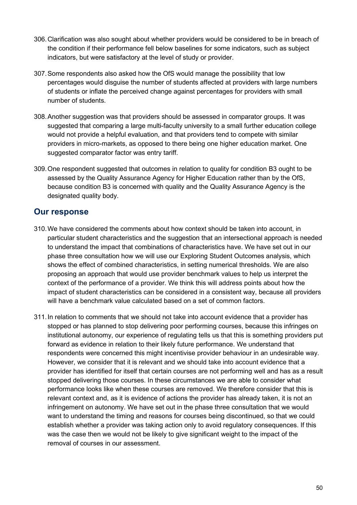- 306.Clarification was also sought about whether providers would be considered to be in breach of the condition if their performance fell below baselines for some indicators, such as subject indicators, but were satisfactory at the level of study or provider.
- 307.Some respondents also asked how the OfS would manage the possibility that low percentages would disguise the number of students affected at providers with large numbers of students or inflate the perceived change against percentages for providers with small number of students.
- 308.Another suggestion was that providers should be assessed in comparator groups. It was suggested that comparing a large multi-faculty university to a small further education college would not provide a helpful evaluation, and that providers tend to compete with similar providers in micro-markets, as opposed to there being one higher education market. One suggested comparator factor was entry tariff.
- 309.One respondent suggested that outcomes in relation to quality for condition B3 ought to be assessed by the Quality Assurance Agency for Higher Education rather than by the OfS, because condition B3 is concerned with quality and the Quality Assurance Agency is the designated quality body.

- <span id="page-49-0"></span>310.We have considered the comments about how context should be taken into account, in particular student characteristics and the suggestion that an intersectional approach is needed to understand the impact that combinations of characteristics have. We have set out in our phase three consultation how we will use our Exploring Student Outcomes analysis, which shows the effect of combined characteristics, in setting numerical thresholds. We are also proposing an approach that would use provider benchmark values to help us interpret the context of the performance of a provider. We think this will address points about how the impact of student characteristics can be considered in a consistent way, because all providers will have a benchmark value calculated based on a set of common factors.
- 311.In relation to comments that we should not take into account evidence that a provider has stopped or has planned to stop delivering poor performing courses, because this infringes on institutional autonomy, our experience of regulating tells us that this is something providers put forward as evidence in relation to their likely future performance. We understand that respondents were concerned this might incentivise provider behaviour in an undesirable way. However, we consider that it is relevant and we should take into account evidence that a provider has identified for itself that certain courses are not performing well and has as a result stopped delivering those courses. In these circumstances we are able to consider what performance looks like when these courses are removed. We therefore consider that this is relevant context and, as it is evidence of actions the provider has already taken, it is not an infringement on autonomy. We have set out in the phase three consultation that we would want to understand the timing and reasons for courses being discontinued, so that we could establish whether a provider was taking action only to avoid regulatory consequences. If this was the case then we would not be likely to give significant weight to the impact of the removal of courses in our assessment.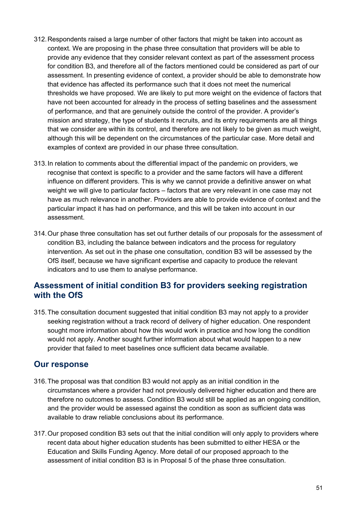- 312.Respondents raised a large number of other factors that might be taken into account as context. We are proposing in the phase three consultation that providers will be able to provide any evidence that they consider relevant context as part of the assessment process for condition B3, and therefore all of the factors mentioned could be considered as part of our assessment. In presenting evidence of context, a provider should be able to demonstrate how that evidence has affected its performance such that it does not meet the numerical thresholds we have proposed. We are likely to put more weight on the evidence of factors that have not been accounted for already in the process of setting baselines and the assessment of performance, and that are genuinely outside the control of the provider. A provider's mission and strategy, the type of students it recruits, and its entry requirements are all things that we consider are within its control, and therefore are not likely to be given as much weight, although this will be dependent on the circumstances of the particular case. More detail and examples of context are provided in our phase three consultation.
- 313.In relation to comments about the differential impact of the pandemic on providers, we recognise that context is specific to a provider and the same factors will have a different influence on different providers. This is why we cannot provide a definitive answer on what weight we will give to particular factors – factors that are very relevant in one case may not have as much relevance in another. Providers are able to provide evidence of context and the particular impact it has had on performance, and this will be taken into account in our assessment.
- 314.Our phase three consultation has set out further details of our proposals for the assessment of condition B3, including the balance between indicators and the process for regulatory intervention. As set out in the phase one consultation, condition B3 will be assessed by the OfS itself, because we have significant expertise and capacity to produce the relevant indicators and to use them to analyse performance.

# <span id="page-50-0"></span>**Assessment of initial condition B3 for providers seeking registration with the OfS**

315.The consultation document suggested that initial condition B3 may not apply to a provider seeking registration without a track record of delivery of higher education. One respondent sought more information about how this would work in practice and how long the condition would not apply. Another sought further information about what would happen to a new provider that failed to meet baselines once sufficient data became available.

- <span id="page-50-1"></span>316.The proposal was that condition B3 would not apply as an initial condition in the circumstances where a provider had not previously delivered higher education and there are therefore no outcomes to assess. Condition B3 would still be applied as an ongoing condition, and the provider would be assessed against the condition as soon as sufficient data was available to draw reliable conclusions about its performance.
- 317.Our proposed condition B3 sets out that the initial condition will only apply to providers where recent data about higher education students has been submitted to either HESA or the Education and Skills Funding Agency. More detail of our proposed approach to the assessment of initial condition B3 is in Proposal 5 of the phase three consultation.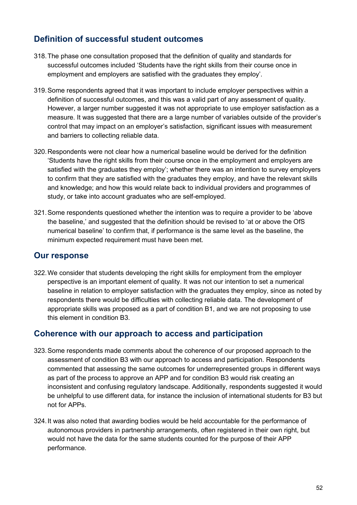# <span id="page-51-0"></span>**Definition of successful student outcomes**

- 318.The phase one consultation proposed that the definition of quality and standards for successful outcomes included 'Students have the right skills from their course once in employment and employers are satisfied with the graduates they employ'.
- 319.Some respondents agreed that it was important to include employer perspectives within a definition of successful outcomes, and this was a valid part of any assessment of quality. However, a larger number suggested it was not appropriate to use employer satisfaction as a measure. It was suggested that there are a large number of variables outside of the provider's control that may impact on an employer's satisfaction, significant issues with measurement and barriers to collecting reliable data.
- 320.Respondents were not clear how a numerical baseline would be derived for the definition 'Students have the right skills from their course once in the employment and employers are satisfied with the graduates they employ'; whether there was an intention to survey employers to confirm that they are satisfied with the graduates they employ, and have the relevant skills and knowledge; and how this would relate back to individual providers and programmes of study, or take into account graduates who are self-employed.
- 321.Some respondents questioned whether the intention was to require a provider to be 'above the baseline,' and suggested that the definition should be revised to 'at or above the OfS numerical baseline' to confirm that, if performance is the same level as the baseline, the minimum expected requirement must have been met.

### <span id="page-51-1"></span>**Our response**

322.We consider that students developing the right skills for employment from the employer perspective is an important element of quality. It was not our intention to set a numerical baseline in relation to employer satisfaction with the graduates they employ, since as noted by respondents there would be difficulties with collecting reliable data. The development of appropriate skills was proposed as a part of condition B1, and we are not proposing to use this element in condition B3.

### <span id="page-51-2"></span>**Coherence with our approach to access and participation**

- 323.Some respondents made comments about the coherence of our proposed approach to the assessment of condition B3 with our approach to access and participation. Respondents commented that assessing the same outcomes for underrepresented groups in different ways as part of the process to approve an APP and for condition B3 would risk creating an inconsistent and confusing regulatory landscape. Additionally, respondents suggested it would be unhelpful to use different data, for instance the inclusion of international students for B3 but not for APPs.
- 324.It was also noted that awarding bodies would be held accountable for the performance of autonomous providers in partnership arrangements, often registered in their own right, but would not have the data for the same students counted for the purpose of their APP performance.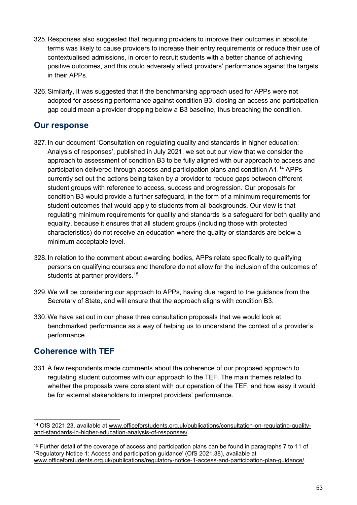- 325.Responses also suggested that requiring providers to improve their outcomes in absolute terms was likely to cause providers to increase their entry requirements or reduce their use of contextualised admissions, in order to recruit students with a better chance of achieving positive outcomes, and this could adversely affect providers' performance against the targets in their APPs.
- 326.Similarly, it was suggested that if the benchmarking approach used for APPs were not adopted for assessing performance against condition B3, closing an access and participation gap could mean a provider dropping below a B3 baseline, thus breaching the condition.

### <span id="page-52-0"></span>**Our response**

- 327.In our document 'Consultation on regulating quality and standards in higher education: Analysis of responses', published in July 2021, we set out our view that we consider the approach to assessment of condition B3 to be fully aligned with our approach to access and participation delivered through access and participation plans and condition A1.[14](#page-52-2) APPs currently set out the actions being taken by a provider to reduce gaps between different student groups with reference to access, success and progression. Our proposals for condition B3 would provide a further safeguard, in the form of a minimum requirements for student outcomes that would apply to students from all backgrounds. Our view is that regulating minimum requirements for quality and standards is a safeguard for both quality and equality, because it ensures that all student groups (including those with protected characteristics) do not receive an education where the quality or standards are below a minimum acceptable level.
- 328.In relation to the comment about awarding bodies, APPs relate specifically to qualifying persons on qualifying courses and therefore do not allow for the inclusion of the outcomes of students at partner providers.<sup>[15](#page-52-3)</sup>
- 329.We will be considering our approach to APPs, having due regard to the guidance from the Secretary of State, and will ensure that the approach aligns with condition B3.
- 330.We have set out in our phase three consultation proposals that we would look at benchmarked performance as a way of helping us to understand the context of a provider's performance.

# <span id="page-52-1"></span>**Coherence with TEF**

331.A few respondents made comments about the coherence of our proposed approach to regulating student outcomes with our approach to the TEF. The main themes related to whether the proposals were consistent with our operation of the TEF, and how easy it would be for external stakeholders to interpret providers' performance.

<span id="page-52-2"></span><sup>14</sup> OfS 2021.23, available at [www.officeforstudents.org.uk/publications/consultation-on-regulating-quality](http://www.officeforstudents.org.uk/publications/consultation-on-regulating-quality-and-standards-in-higher-education-analysis-of-responses/)[and-standards-in-higher-education-analysis-of-responses/.](http://www.officeforstudents.org.uk/publications/consultation-on-regulating-quality-and-standards-in-higher-education-analysis-of-responses/)

<span id="page-52-3"></span><sup>&</sup>lt;sup>15</sup> Further detail of the coverage of access and participation plans can be found in paragraphs 7 to 11 of 'Regulatory Notice 1: Access and participation guidance' (OfS 2021.38), available at [www.officeforstudents.org.uk/publications/regulatory-notice-1-access-and-participation-plan-guidance/.](http://www.officeforstudents.org.uk/publications/regulatory-notice-1-access-and-participation-plan-guidance/)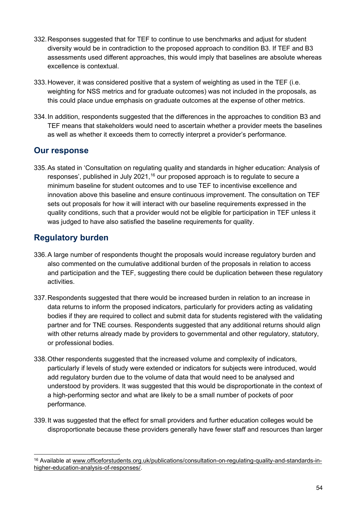- 332.Responses suggested that for TEF to continue to use benchmarks and adjust for student diversity would be in contradiction to the proposed approach to condition B3. If TEF and B3 assessments used different approaches, this would imply that baselines are absolute whereas excellence is contextual.
- 333.However, it was considered positive that a system of weighting as used in the TEF (i.e. weighting for NSS metrics and for graduate outcomes) was not included in the proposals, as this could place undue emphasis on graduate outcomes at the expense of other metrics.
- 334.In addition, respondents suggested that the differences in the approaches to condition B3 and TEF means that stakeholders would need to ascertain whether a provider meets the baselines as well as whether it exceeds them to correctly interpret a provider's performance.

### <span id="page-53-0"></span>**Our response**

335.As stated in 'Consultation on regulating quality and standards in higher education: Analysis of responses', published in July 2021,<sup>[16](#page-53-2)</sup> our proposed approach is to regulate to secure a minimum baseline for student outcomes and to use TEF to incentivise excellence and innovation above this baseline and ensure continuous improvement. The consultation on TEF sets out proposals for how it will interact with our baseline requirements expressed in the quality conditions, such that a provider would not be eligible for participation in TEF unless it was judged to have also satisfied the baseline requirements for quality.

# <span id="page-53-1"></span>**Regulatory burden**

- 336.A large number of respondents thought the proposals would increase regulatory burden and also commented on the cumulative additional burden of the proposals in relation to access and participation and the TEF, suggesting there could be duplication between these regulatory activities.
- 337.Respondents suggested that there would be increased burden in relation to an increase in data returns to inform the proposed indicators, particularly for providers acting as validating bodies if they are required to collect and submit data for students registered with the validating partner and for TNE courses. Respondents suggested that any additional returns should align with other returns already made by providers to governmental and other regulatory, statutory, or professional bodies.
- 338.Other respondents suggested that the increased volume and complexity of indicators, particularly if levels of study were extended or indicators for subjects were introduced, would add regulatory burden due to the volume of data that would need to be analysed and understood by providers. It was suggested that this would be disproportionate in the context of a high-performing sector and what are likely to be a small number of pockets of poor performance.
- 339.It was suggested that the effect for small providers and further education colleges would be disproportionate because these providers generally have fewer staff and resources than larger

<span id="page-53-2"></span><sup>16</sup> Available at [www.officeforstudents.org.uk/publications/consultation-on-regulating-quality-and-standards-in](http://www.officeforstudents.org.uk/publications/consultation-on-regulating-quality-and-standards-in-higher-education-analysis-of-responses/)[higher-education-analysis-of-responses/.](http://www.officeforstudents.org.uk/publications/consultation-on-regulating-quality-and-standards-in-higher-education-analysis-of-responses/)